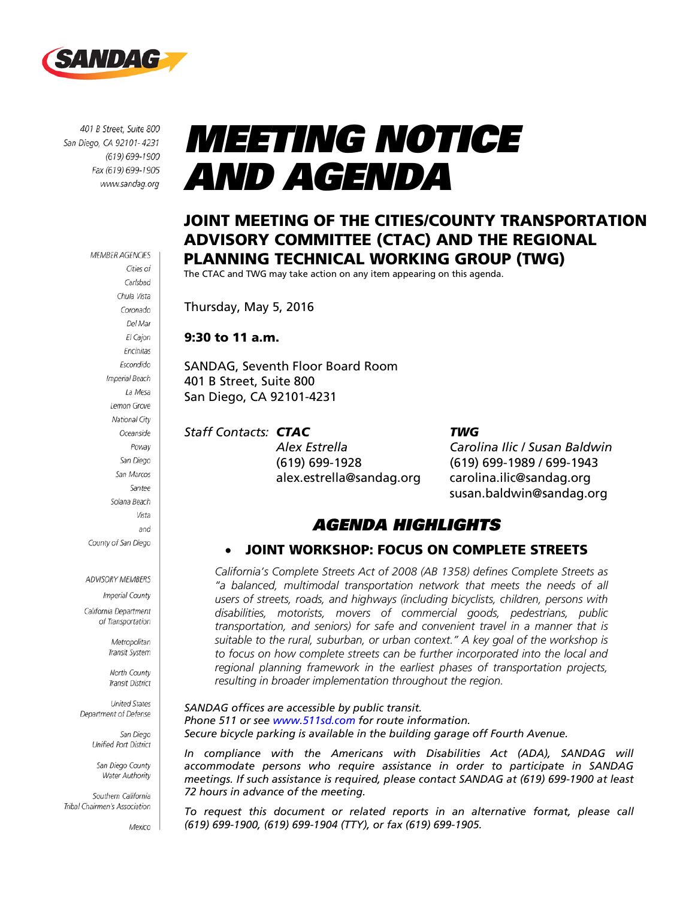

401 B Street, Suite 800 San Diego, CA 92101-4231 (619) 699-1900 Fax (619) 699-1905 www.sandag.org

> **MEMBER AGENCIES** Cities of Carlsbad Chula Vista Coronado Del Mar El Cajon Encinitas Escondido Imperial Beach La Mesa Lemon Grove National City Oceanside Poway San Diego San Marcos Santee Solana Beach Vista and County of San Diego

#### **ADVISORY MEMBERS**

Imperial County California Department

of Transportation

Metropolitan Transit System

North County **Transit District** 

**United States** Department of Defense

> San Diego Unified Port District

San Diego County Water Authority

Southern California Tribal Chairmen's Association

Mexico

# MEETING NOTICE AND AGENDA

### JOINT MEETING OF THE CITIES/COUNTY TRANSPORTATION ADVISORY COMMITTEE (CTAC) AND THE REGIONAL PLANNING TECHNICAL WORKING GROUP (TWG)

The CTAC and TWG may take action on any item appearing on this agenda.

Thursday, May 5, 2016

### 9:30 to 11 a.m.

SANDAG, Seventh Floor Board Room 401 B Street, Suite 800 San Diego, CA 92101-4231

### *Staff Contacts: CTAC TWG*

(619) 699-1928 (619) 699-1989 / 699-1943 alex.estrella@sandag.org carolina.ilic@sandag.org

*Alex Estrella Carolina Ilic / Susan Baldwin* susan.baldwin@sandag.org

### AGENDA HIGHLIGHTS

### • JOINT WORKSHOP: FOCUS ON COMPLETE STREETS

*California's Complete Streets Act of 2008 (AB 1358) defines Complete Streets as "a balanced, multimodal transportation network that meets the needs of all users of streets, roads, and highways (including bicyclists, children, persons with disabilities, motorists, movers of commercial goods, pedestrians, public transportation, and seniors) for safe and convenient travel in a manner that is suitable to the rural, suburban, or urban context." A key goal of the workshop is*  to focus on how complete streets can be further incorporated into the local and *regional planning framework in the earliest phases of transportation projects, resulting in broader implementation throughout the region.*

*SANDAG offices are accessible by public transit. Phone 511 or see [www.511sd.com](http://www.511sd.com/) for route information. Secure bicycle parking is available in the building garage off Fourth Avenue.*

In compliance with the Americans with Disabilities Act (ADA), SANDAG will *accommodate persons who require assistance in order to participate in SANDAG meetings. If such assistance is required, please contact SANDAG at (619) 699-1900 at least 72 hours in advance of the meeting.*

*To request this document or related reports in an alternative format, please call (619) 699-1900, (619) 699-1904 (TTY), or fax (619) 699-1905.*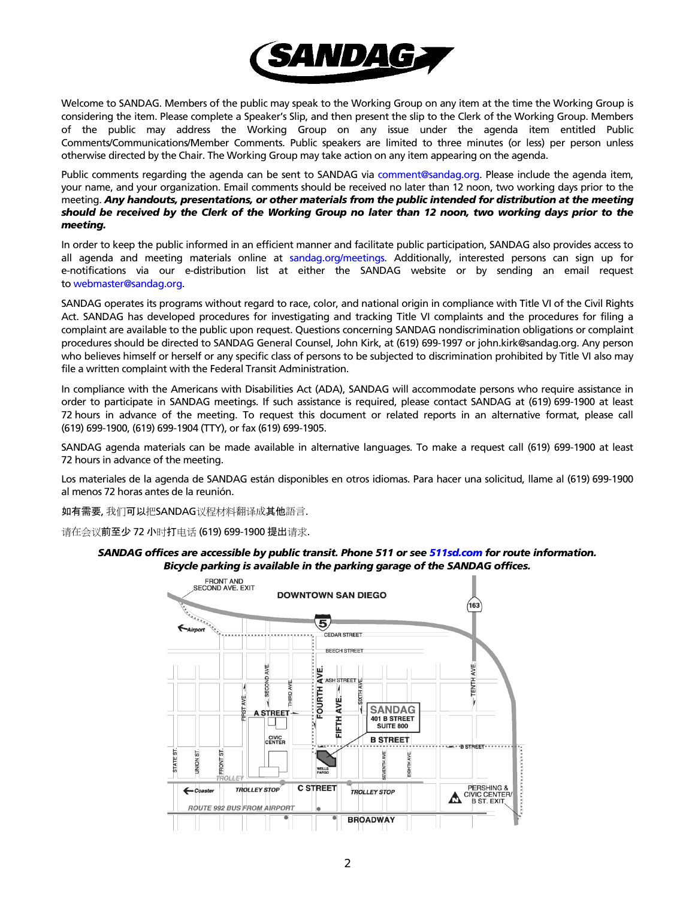

Welcome to SANDAG. Members of the public may speak to the Working Group on any item at the time the Working Group is considering the item. Please complete a Speaker's Slip, and then present the slip to the Clerk of the Working Group. Members of the public may address the Working Group on any issue under the agenda item entitled Public Comments/Communications/Member Comments. Public speakers are limited to three minutes (or less) per person unless otherwise directed by the Chair. The Working Group may take action on any item appearing on the agenda.

Public comments regarding the agenda can be sent to SANDAG via [comment@sandag.org.](mailto:comment@sandag.org) Please include the agenda item, your name, and your organization. Email comments should be received no later than 12 noon, two working days prior to the meeting. *Any handouts, presentations, or other materials from the public intended for distribution at the meeting should be received by the Clerk of the Working Group no later than 12 noon, two working days prior to the meeting.*

In order to keep the public informed in an efficient manner and facilitate public participation, SANDAG also provides access to all agenda and meeting materials online at [sandag.org/meetings.](http://www.sandag.org/meetings) Additionally, interested persons can sign up for e-notifications via our e-distribution list at either the SANDAG website or by sending an email request to [webmaster@sandag.org.](mailto:webmaster@sandag.org) 

SANDAG operates its programs without regard to race, color, and national origin in compliance with Title VI of the Civil Rights Act. SANDAG has developed procedures for investigating and tracking Title VI complaints and the procedures for filing a complaint are available to the public upon request. Questions concerning SANDAG nondiscrimination obligations or complaint procedures should be directed to SANDAG General Counsel, John Kirk, at (619) 699-1997 or john.kirk@sandag.org. Any person who believes himself or herself or any specific class of persons to be subjected to discrimination prohibited by Title VI also may file a written complaint with the Federal Transit Administration.

In compliance with the Americans with Disabilities Act (ADA), SANDAG will accommodate persons who require assistance in order to participate in SANDAG meetings. If such assistance is required, please contact SANDAG at (619) 699-1900 at least 72 hours in advance of the meeting. To request this document or related reports in an alternative format, please call (619) 699-1900, (619) 699-1904 (TTY), or fax (619) 699-1905.

SANDAG agenda materials can be made available in alternative languages. To make a request call (619) 699-1900 at least 72 hours in advance of the meeting.

Los materiales de la agenda de SANDAG están disponibles en otros idiomas. Para hacer una solicitud, llame al (619) 699-1900 al menos 72 horas antes de la reunión.

如有需要, 我们可以把SANDAG议程材料翻译成其他語言.

请在会议前至少 72 小时打电话 (619) 699-1900 提出请求.

#### *SANDAG offices are accessible by public transit. Phone 511 or se[e 511sd.com](http://www.511sd.com/) for route information. Bicycle parking is available in the parking garage of the SANDAG offices.*

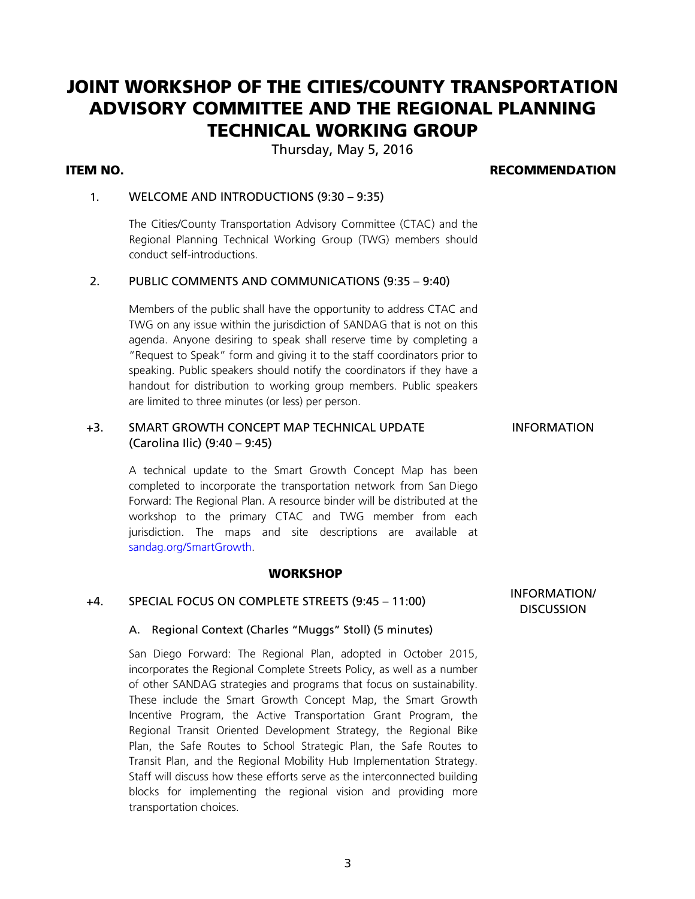## JOINT WORKSHOP OF THE CITIES/COUNTY TRANSPORTATION ADVISORY COMMITTEE AND THE REGIONAL PLANNING TECHNICAL WORKING GROUP

Thursday, May 5, 2016

### ITEM NO. RECOMMENDATION

### 1. WELCOME AND INTRODUCTIONS (9:30 – 9:35)

The Cities/County Transportation Advisory Committee (CTAC) and the Regional Planning Technical Working Group (TWG) members should conduct self-introductions.

### 2. PUBLIC COMMENTS AND COMMUNICATIONS (9:35 – 9:40)

Members of the public shall have the opportunity to address CTAC and TWG on any issue within the jurisdiction of SANDAG that is not on this agenda. Anyone desiring to speak shall reserve time by completing a "Request to Speak" form and giving it to the staff coordinators prior to speaking. Public speakers should notify the coordinators if they have a handout for distribution to working group members. Public speakers are limited to three minutes (or less) per person.

### +3. SMART GROWTH CONCEPT MAP TECHNICAL UPDATE (Carolina Ilic) (9:40 – 9:45)

A technical update to the Smart Growth Concept Map has been completed to incorporate the transportation network from San Diego Forward: The Regional Plan. A resource binder will be distributed at the workshop to the primary CTAC and TWG member from each jurisdiction. The maps and site descriptions are available at

#### **WORKSHOP**

### +4. SPECIAL FOCUS ON COMPLETE STREETS (9:45 – 11:00) INFORMATION/

[sandag.org/SmartGrowth.](http://www.sandag.org/SmartGrowth)

#### A. Regional Context (Charles "Muggs" Stoll) (5 minutes)

San Diego Forward: The Regional Plan, adopted in October 2015, incorporates the Regional Complete Streets Policy, as well as a number of other SANDAG strategies and programs that focus on sustainability. These include the Smart Growth Concept Map, the Smart Growth Incentive Program, the Active Transportation Grant Program, the Regional Transit Oriented Development Strategy, the Regional Bike Plan, the Safe Routes to School Strategic Plan, the Safe Routes to Transit Plan, and the Regional Mobility Hub Implementation Strategy. Staff will discuss how these efforts serve as the interconnected building blocks for implementing the regional vision and providing more transportation choices.

**DISCUSSION** 

INFORMATION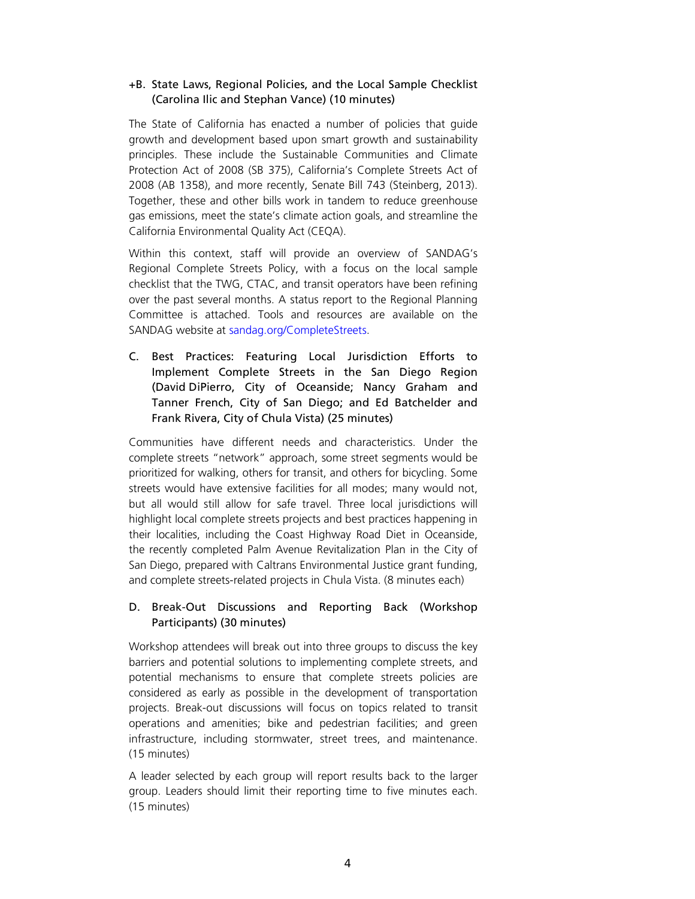### +B. State Laws, Regional Policies, and the Local Sample Checklist (Carolina Ilic and Stephan Vance) (10 minutes)

The State of California has enacted a number of policies that guide growth and development based upon smart growth and sustainability principles. These include the Sustainable Communities and Climate Protection Act of 2008 (SB 375), California's Complete Streets Act of 2008 (AB 1358), and more recently, Senate Bill 743 (Steinberg, 2013). Together, these and other bills work in tandem to reduce greenhouse gas emissions, meet the state's climate action goals, and streamline the California Environmental Quality Act (CEQA).

Within this context, staff will provide an overview of SANDAG's Regional Complete Streets Policy, with a focus on the local sample checklist that the TWG, CTAC, and transit operators have been refining over the past several months. A status report to the Regional Planning Committee is attached. Tools and resources are available on the SANDAG website at [sandag.org/CompleteStreets.](http://www.sandag.org/CompleteStreets)

C. Best Practices: Featuring Local Jurisdiction Efforts to Implement Complete Streets in the San Diego Region (David DiPierro, City of Oceanside; Nancy Graham and Tanner French, City of San Diego; and Ed Batchelder and Frank Rivera, City of Chula Vista) (25 minutes)

Communities have different needs and characteristics. Under the complete streets "network" approach, some street segments would be prioritized for walking, others for transit, and others for bicycling. Some streets would have extensive facilities for all modes; many would not, but all would still allow for safe travel. Three local jurisdictions will highlight local complete streets projects and best practices happening in their localities, including the Coast Highway Road Diet in Oceanside, the recently completed Palm Avenue Revitalization Plan in the City of San Diego, prepared with Caltrans Environmental Justice grant funding, and complete streets-related projects in Chula Vista. (8 minutes each)

### D. Break-Out Discussions and Reporting Back (Workshop Participants) (30 minutes)

Workshop attendees will break out into three groups to discuss the key barriers and potential solutions to implementing complete streets, and potential mechanisms to ensure that complete streets policies are considered as early as possible in the development of transportation projects. Break-out discussions will focus on topics related to transit operations and amenities; bike and pedestrian facilities; and green infrastructure, including stormwater, street trees, and maintenance. (15 minutes)

A leader selected by each group will report results back to the larger group. Leaders should limit their reporting time to five minutes each. (15 minutes)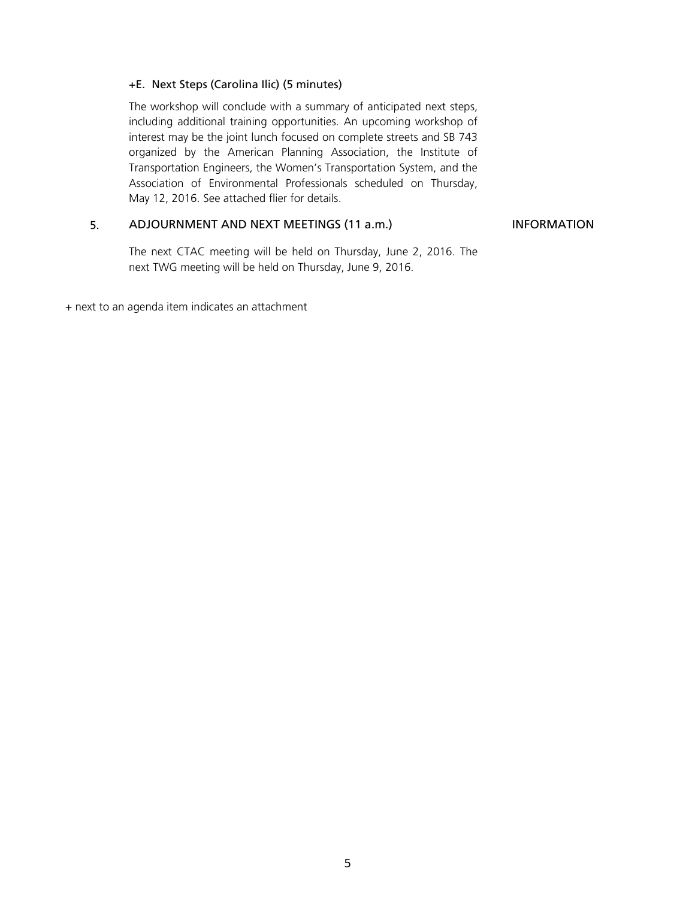### +E. Next Steps (Carolina Ilic) (5 minutes)

The workshop will conclude with a summary of anticipated next steps, including additional training opportunities. An upcoming workshop of interest may be the joint lunch focused on complete streets and SB 743 organized by the American Planning Association, the Institute of Transportation Engineers, the Women's Transportation System, and the Association of Environmental Professionals scheduled on Thursday, May 12, 2016. See attached flier for details.

### 5. ADJOURNMENT AND NEXT MEETINGS (11 a.m.) INFORMATION

The next CTAC meeting will be held on Thursday, June 2, 2016. The next TWG meeting will be held on Thursday, June 9, 2016.

+ next to an agenda item indicates an attachment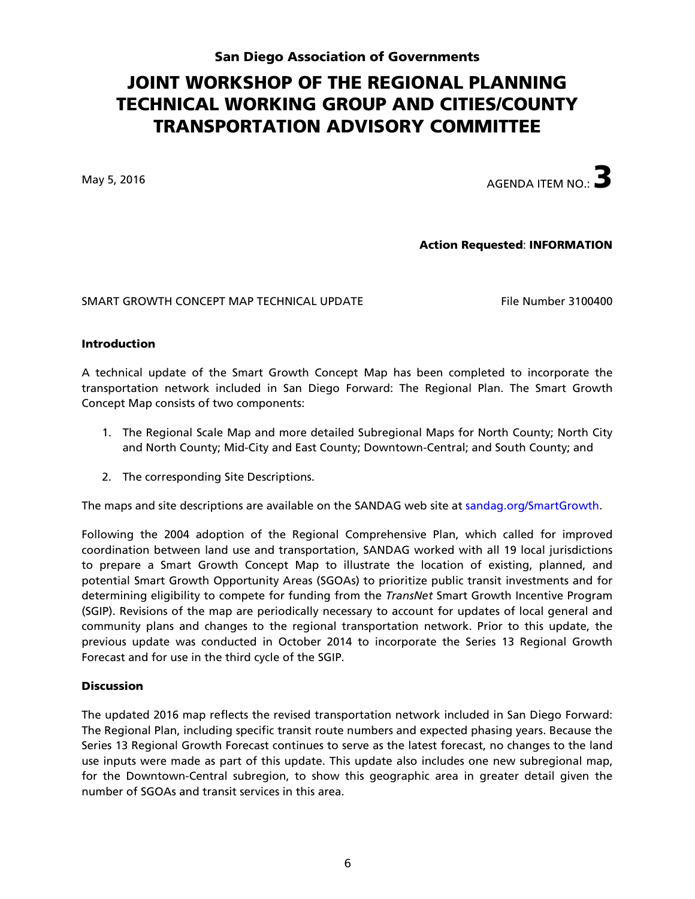### San Diego Association of Governments

## JOINT WORKSHOP OF THE REGIONAL PLANNING TECHNICAL WORKING GROUP AND CITIES/COUNTY TRANSPORTATION ADVISORY COMMITTEE

May 5, 2016  $\overline{3}$ 

### Action Requested: INFORMATION

SMART GROWTH CONCEPT MAP TECHNICAL UPDATE File Number 3100400

### Introduction

A technical update of the Smart Growth Concept Map has been completed to incorporate the transportation network included in San Diego Forward: The Regional Plan. The Smart Growth Concept Map consists of two components:

- 1. The Regional Scale Map and more detailed Subregional Maps for North County; North City and North County; Mid-City and East County; Downtown-Central; and South County; and
- 2. The corresponding Site Descriptions.

The maps and site descriptions are available on the SANDAG web site at [sandag.org/SmartGrowth.](http://www.sandag.org/SmartGrowth)

Following the 2004 adoption of the Regional Comprehensive Plan, which called for improved coordination between land use and transportation, SANDAG worked with all 19 local jurisdictions to prepare a Smart Growth Concept Map to illustrate the location of existing, planned, and potential Smart Growth Opportunity Areas (SGOAs) to prioritize public transit investments and for determining eligibility to compete for funding from the *TransNet* Smart Growth Incentive Program (SGIP). Revisions of the map are periodically necessary to account for updates of local general and community plans and changes to the regional transportation network. Prior to this update, the previous update was conducted in October 2014 to incorporate the Series 13 Regional Growth Forecast and for use in the third cycle of the SGIP.

#### **Discussion**

The updated 2016 map reflects the revised transportation network included in San Diego Forward: The Regional Plan, including specific transit route numbers and expected phasing years. Because the Series 13 Regional Growth Forecast continues to serve as the latest forecast, no changes to the land use inputs were made as part of this update. This update also includes one new subregional map, for the Downtown-Central subregion, to show this geographic area in greater detail given the number of SGOAs and transit services in this area.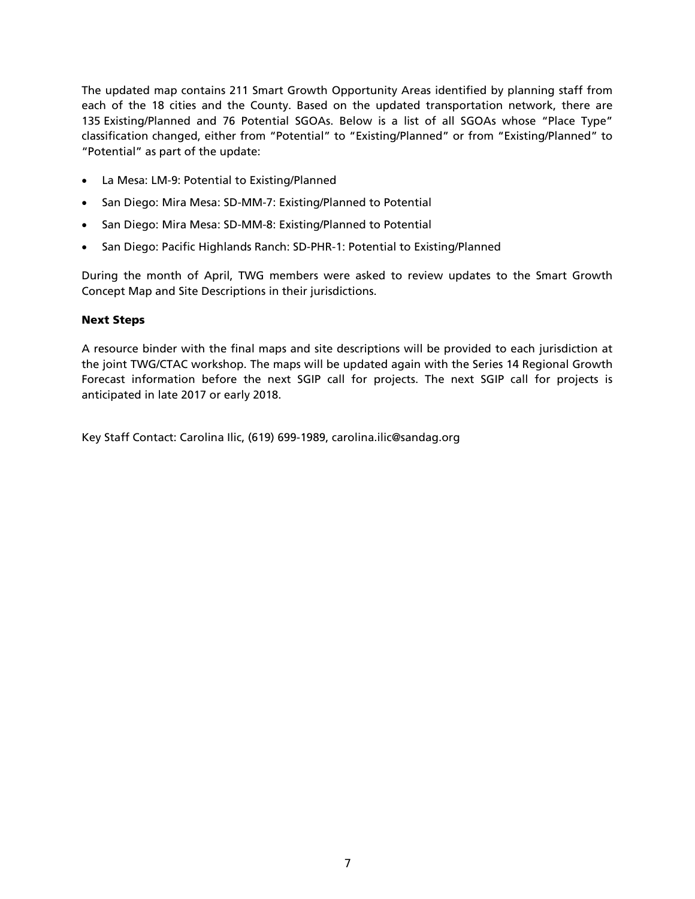The updated map contains 211 Smart Growth Opportunity Areas identified by planning staff from each of the 18 cities and the County. Based on the updated transportation network, there are 135 Existing/Planned and 76 Potential SGOAs. Below is a list of all SGOAs whose "Place Type" classification changed, either from "Potential" to "Existing/Planned" or from "Existing/Planned" to "Potential" as part of the update:

- La Mesa: LM-9: Potential to Existing/Planned
- San Diego: Mira Mesa: SD-MM-7: Existing/Planned to Potential
- San Diego: Mira Mesa: SD-MM-8: Existing/Planned to Potential
- San Diego: Pacific Highlands Ranch: SD-PHR-1: Potential to Existing/Planned

During the month of April, TWG members were asked to review updates to the Smart Growth Concept Map and Site Descriptions in their jurisdictions.

### Next Steps

A resource binder with the final maps and site descriptions will be provided to each jurisdiction at the joint TWG/CTAC workshop. The maps will be updated again with the Series 14 Regional Growth Forecast information before the next SGIP call for projects. The next SGIP call for projects is anticipated in late 2017 or early 2018.

Key Staff Contact: Carolina Ilic, (619) 699-1989, carolina.ilic@sandag.org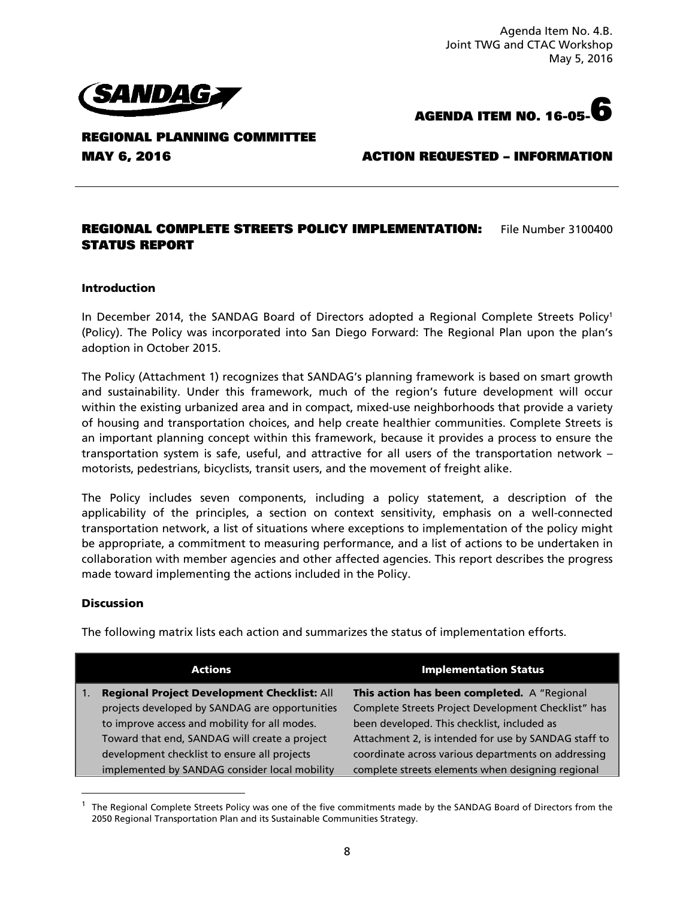Agenda Item No. 4.B. Joint TWG and CTAC Workshop May 5, 2016



**AGENDA ITEM NO. 16-05-6**

**REGIONAL PLANNING COMMITTEE** 

### **MAY 6, 2016 ACTION REQUESTED – INFORMATION**

### **REGIONAL COMPLETE STREETS POLICY IMPLEMENTATION:** File Number 3100400 **STATUS REPORT**

#### Introduction

In December 2014, the SANDAG Board of Directors adopted a Regional Complete Streets Policy<sup>1</sup> (Policy). The Policy was incorporated into San Diego Forward: The Regional Plan upon the plan's adoption in October 2015.

The Policy (Attachment 1) recognizes that SANDAG's planning framework is based on smart growth and sustainability. Under this framework, much of the region's future development will occur within the existing urbanized area and in compact, mixed-use neighborhoods that provide a variety of housing and transportation choices, and help create healthier communities. Complete Streets is an important planning concept within this framework, because it provides a process to ensure the transportation system is safe, useful, and attractive for all users of the transportation network – motorists, pedestrians, bicyclists, transit users, and the movement of freight alike.

The Policy includes seven components, including a policy statement, a description of the applicability of the principles, a section on context sensitivity, emphasis on a well-connected transportation network, a list of situations where exceptions to implementation of the policy might be appropriate, a commitment to measuring performance, and a list of actions to be undertaken in collaboration with member agencies and other affected agencies. This report describes the progress made toward implementing the actions included in the Policy.

#### Discussion

 $\overline{a}$ 

The following matrix lists each action and summarizes the status of implementation efforts.

| <b>Actions</b> |                                                | <b>Implementation Status</b>                         |  |
|----------------|------------------------------------------------|------------------------------------------------------|--|
| l 1.           | Regional Project Development Checklist: All    | This action has been completed. A "Regional          |  |
|                | projects developed by SANDAG are opportunities | Complete Streets Project Development Checklist" has  |  |
|                | to improve access and mobility for all modes.  | been developed. This checklist, included as          |  |
|                | Toward that end, SANDAG will create a project  | Attachment 2, is intended for use by SANDAG staff to |  |
|                | development checklist to ensure all projects   | coordinate across various departments on addressing  |  |
|                | implemented by SANDAG consider local mobility  | complete streets elements when designing regional    |  |

<sup>1</sup> The Regional Complete Streets Policy was one of the five commitments made by the SANDAG Board of Directors from the 2050 Regional Transportation Plan and its Sustainable Communities Strategy.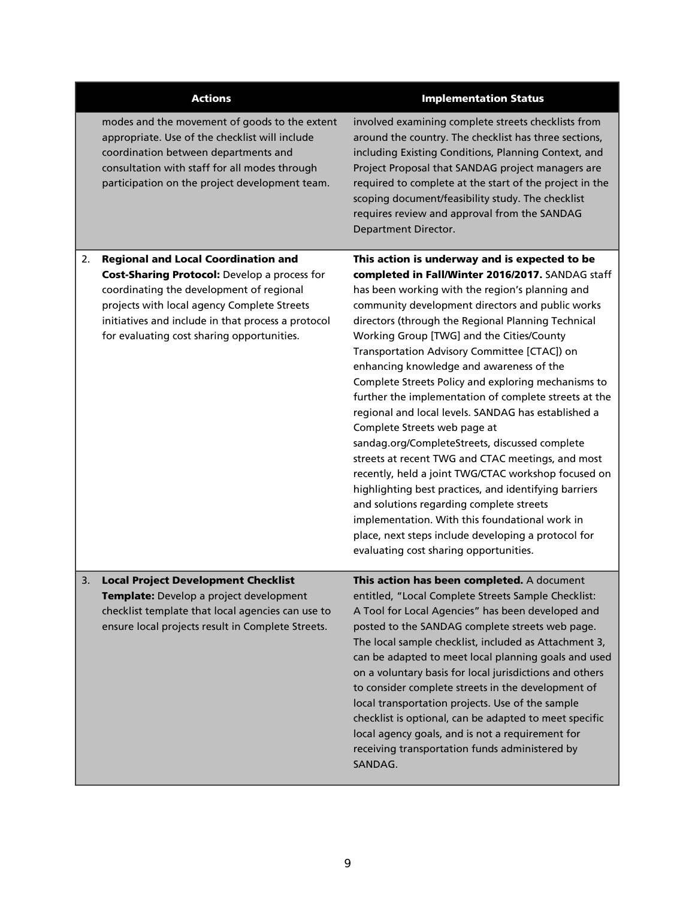|    | <b>Actions</b>                                                                                                                                                                                                                                                                                   | <b>Implementation Status</b>                                                                                                                                                                                                                                                                                                                                                                                                                                                                                                                                                                                                                                                                                                                                                                                                                                                                                                                                                                                                         |
|----|--------------------------------------------------------------------------------------------------------------------------------------------------------------------------------------------------------------------------------------------------------------------------------------------------|--------------------------------------------------------------------------------------------------------------------------------------------------------------------------------------------------------------------------------------------------------------------------------------------------------------------------------------------------------------------------------------------------------------------------------------------------------------------------------------------------------------------------------------------------------------------------------------------------------------------------------------------------------------------------------------------------------------------------------------------------------------------------------------------------------------------------------------------------------------------------------------------------------------------------------------------------------------------------------------------------------------------------------------|
|    | modes and the movement of goods to the extent<br>appropriate. Use of the checklist will include<br>coordination between departments and<br>consultation with staff for all modes through<br>participation on the project development team.                                                       | involved examining complete streets checklists from<br>around the country. The checklist has three sections,<br>including Existing Conditions, Planning Context, and<br>Project Proposal that SANDAG project managers are<br>required to complete at the start of the project in the<br>scoping document/feasibility study. The checklist<br>requires review and approval from the SANDAG<br>Department Director.                                                                                                                                                                                                                                                                                                                                                                                                                                                                                                                                                                                                                    |
| 2. | <b>Regional and Local Coordination and</b><br><b>Cost-Sharing Protocol:</b> Develop a process for<br>coordinating the development of regional<br>projects with local agency Complete Streets<br>initiatives and include in that process a protocol<br>for evaluating cost sharing opportunities. | This action is underway and is expected to be<br>completed in Fall/Winter 2016/2017. SANDAG staff<br>has been working with the region's planning and<br>community development directors and public works<br>directors (through the Regional Planning Technical<br>Working Group [TWG] and the Cities/County<br>Transportation Advisory Committee [CTAC]) on<br>enhancing knowledge and awareness of the<br>Complete Streets Policy and exploring mechanisms to<br>further the implementation of complete streets at the<br>regional and local levels. SANDAG has established a<br>Complete Streets web page at<br>sandag.org/CompleteStreets, discussed complete<br>streets at recent TWG and CTAC meetings, and most<br>recently, held a joint TWG/CTAC workshop focused on<br>highlighting best practices, and identifying barriers<br>and solutions regarding complete streets<br>implementation. With this foundational work in<br>place, next steps include developing a protocol for<br>evaluating cost sharing opportunities. |
| 3. | <b>Local Project Development Checklist</b><br>Template: Develop a project development<br>checklist template that local agencies can use to<br>ensure local projects result in Complete Streets.                                                                                                  | This action has been completed. A document<br>entitled, "Local Complete Streets Sample Checklist:<br>A Tool for Local Agencies" has been developed and<br>posted to the SANDAG complete streets web page.<br>The local sample checklist, included as Attachment 3,<br>can be adapted to meet local planning goals and used<br>on a voluntary basis for local jurisdictions and others<br>to consider complete streets in the development of<br>local transportation projects. Use of the sample<br>checklist is optional, can be adapted to meet specific<br>local agency goals, and is not a requirement for<br>receiving transportation funds administered by<br>SANDAG.                                                                                                                                                                                                                                                                                                                                                           |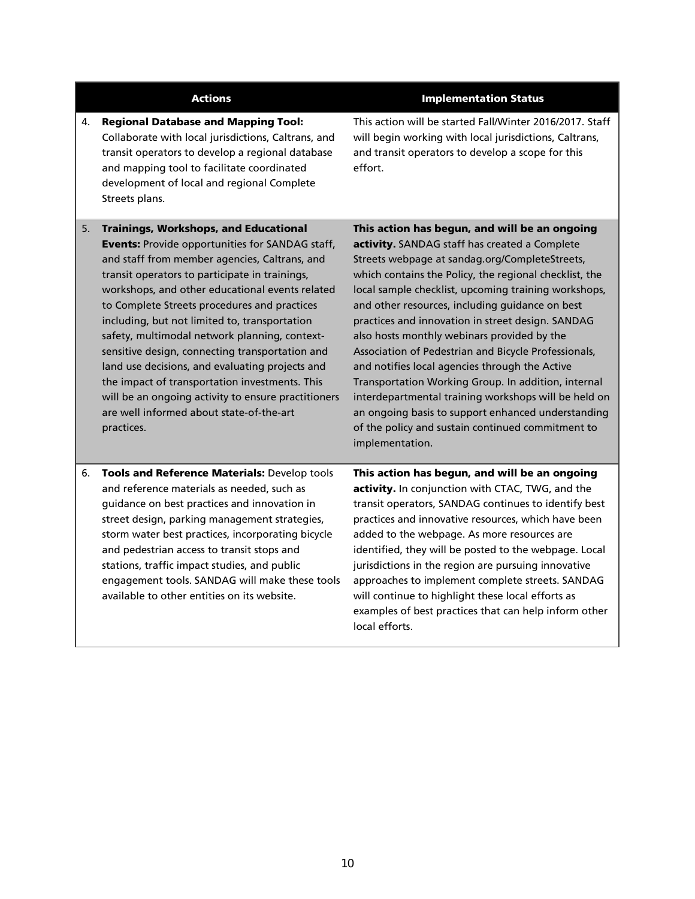### 4. Regional Database and Mapping Tool: Collaborate with local jurisdictions, Caltrans, and transit operators to develop a regional database and mapping tool to facilitate coordinated development of local and regional Complete Streets plans.

#### Actions **Implementation Status**

This action will be started Fall/Winter 2016/2017. Staff will begin working with local jurisdictions, Caltrans, and transit operators to develop a scope for this effort.

5. Trainings, Workshops, and Educational Events: Provide opportunities for SANDAG staff, and staff from member agencies, Caltrans, and transit operators to participate in trainings, workshops, and other educational events related to Complete Streets procedures and practices including, but not limited to, transportation safety, multimodal network planning, contextsensitive design, connecting transportation and land use decisions, and evaluating projects and the impact of transportation investments. This will be an ongoing activity to ensure practitioners are well informed about state-of-the-art practices.

This action has begun, and will be an ongoing activity. SANDAG staff has created a Complete Streets webpage at [sandag.org/CompleteStreets,](http://www.sandag.org/index.asp?classid=12&projectid=521&fuseaction=projects.detail) which contains the Policy, the regional checklist, the local sample checklist, upcoming training workshops, and other resources, including guidance on best practices and innovation in street design. SANDAG also hosts monthly webinars provided by the Association of Pedestrian and Bicycle Professionals, and notifies local agencies through the Active Transportation Working Group. In addition, internal interdepartmental training workshops will be held on an ongoing basis to support enhanced understanding of the policy and sustain continued commitment to implementation.

6. Tools and Reference Materials: Develop tools and reference materials as needed, such as guidance on best practices and innovation in street design, parking management strategies, storm water best practices, incorporating bicycle and pedestrian access to transit stops and stations, traffic impact studies, and public engagement tools. SANDAG will make these tools available to other entities on its website.

This action has begun, and will be an ongoing activity. In conjunction with CTAC, TWG, and the transit operators, SANDAG continues to identify best practices and innovative resources, which have been added to the webpage. As more resources are identified, they will be posted to the webpage. Local jurisdictions in the region are pursuing innovative approaches to implement complete streets. SANDAG will continue to highlight these local efforts as examples of best practices that can help inform other local efforts.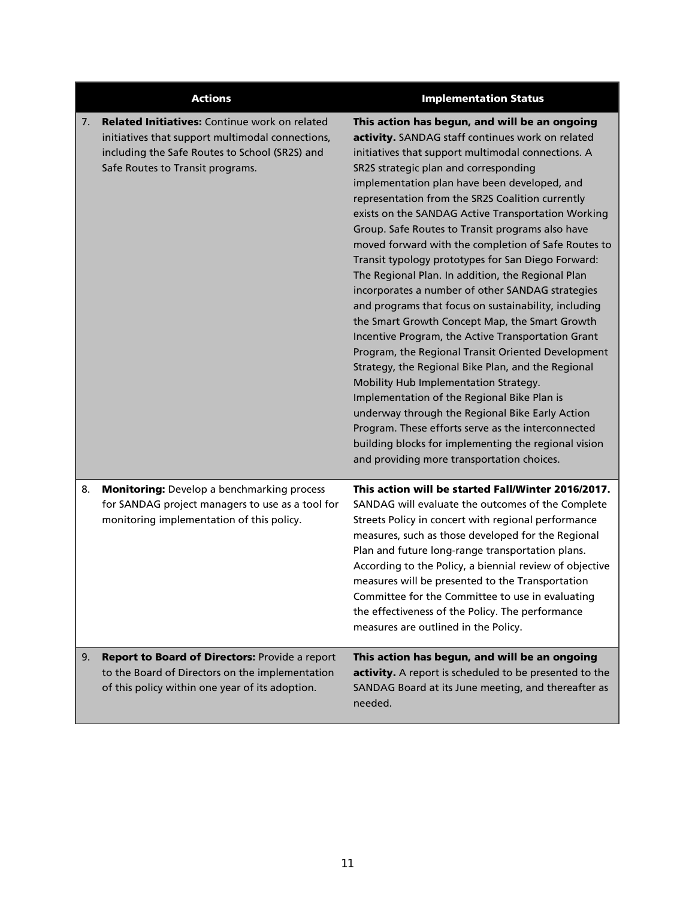|    | <b>Actions</b>                                                                                                                                                                          | <b>Implementation Status</b>                                                                                                                                                                                                                                                                                                                                                                                                                                                                                                                                                                                                                                                                                                                                                                                                                                                                                                                                                                                                                                                                                                                                                                                            |
|----|-----------------------------------------------------------------------------------------------------------------------------------------------------------------------------------------|-------------------------------------------------------------------------------------------------------------------------------------------------------------------------------------------------------------------------------------------------------------------------------------------------------------------------------------------------------------------------------------------------------------------------------------------------------------------------------------------------------------------------------------------------------------------------------------------------------------------------------------------------------------------------------------------------------------------------------------------------------------------------------------------------------------------------------------------------------------------------------------------------------------------------------------------------------------------------------------------------------------------------------------------------------------------------------------------------------------------------------------------------------------------------------------------------------------------------|
| 7. | Related Initiatives: Continue work on related<br>initiatives that support multimodal connections,<br>including the Safe Routes to School (SR2S) and<br>Safe Routes to Transit programs. | This action has begun, and will be an ongoing<br>activity. SANDAG staff continues work on related<br>initiatives that support multimodal connections. A<br>SR2S strategic plan and corresponding<br>implementation plan have been developed, and<br>representation from the SR2S Coalition currently<br>exists on the SANDAG Active Transportation Working<br>Group. Safe Routes to Transit programs also have<br>moved forward with the completion of Safe Routes to<br>Transit typology prototypes for San Diego Forward:<br>The Regional Plan. In addition, the Regional Plan<br>incorporates a number of other SANDAG strategies<br>and programs that focus on sustainability, including<br>the Smart Growth Concept Map, the Smart Growth<br>Incentive Program, the Active Transportation Grant<br>Program, the Regional Transit Oriented Development<br>Strategy, the Regional Bike Plan, and the Regional<br>Mobility Hub Implementation Strategy.<br>Implementation of the Regional Bike Plan is<br>underway through the Regional Bike Early Action<br>Program. These efforts serve as the interconnected<br>building blocks for implementing the regional vision<br>and providing more transportation choices. |
| 8. | <b>Monitoring:</b> Develop a benchmarking process<br>for SANDAG project managers to use as a tool for<br>monitoring implementation of this policy.                                      | This action will be started Fall/Winter 2016/2017.<br>SANDAG will evaluate the outcomes of the Complete<br>Streets Policy in concert with regional performance<br>measures, such as those developed for the Regional<br>Plan and future long-range transportation plans.<br>According to the Policy, a biennial review of objective<br>measures will be presented to the Transportation<br>Committee for the Committee to use in evaluating<br>the effectiveness of the Policy. The performance<br>measures are outlined in the Policy.                                                                                                                                                                                                                                                                                                                                                                                                                                                                                                                                                                                                                                                                                 |
| 9. | Report to Board of Directors: Provide a report<br>to the Board of Directors on the implementation<br>of this policy within one year of its adoption.                                    | This action has begun, and will be an ongoing<br>activity. A report is scheduled to be presented to the<br>SANDAG Board at its June meeting, and thereafter as<br>needed.                                                                                                                                                                                                                                                                                                                                                                                                                                                                                                                                                                                                                                                                                                                                                                                                                                                                                                                                                                                                                                               |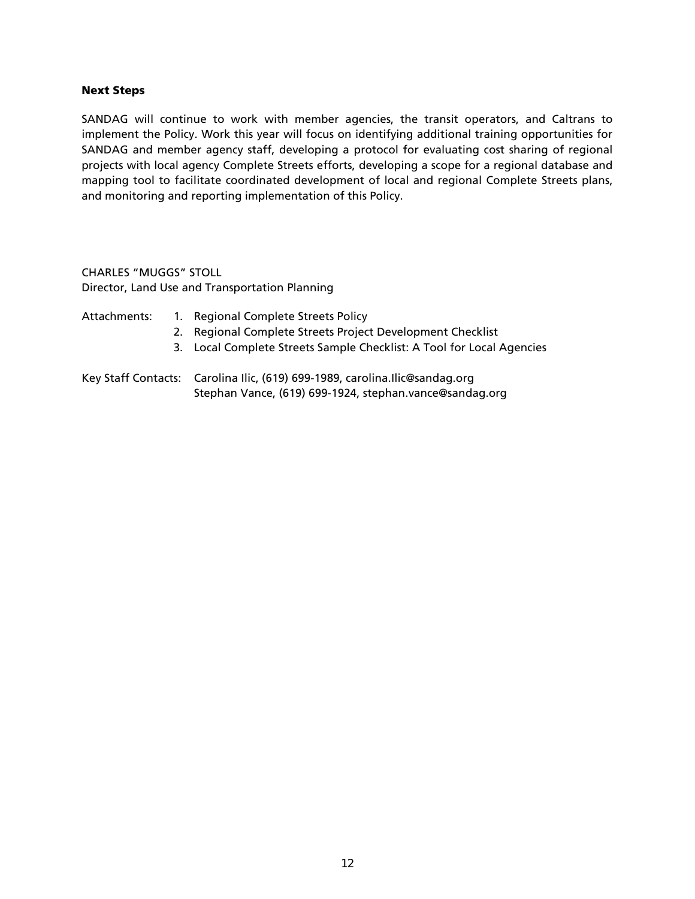### Next Steps

SANDAG will continue to work with member agencies, the transit operators, and Caltrans to implement the Policy. Work this year will focus on identifying additional training opportunities for SANDAG and member agency staff, developing a protocol for evaluating cost sharing of regional projects with local agency Complete Streets efforts, developing a scope for a regional database and mapping tool to facilitate coordinated development of local and regional Complete Streets plans, and monitoring and reporting implementation of this Policy.

CHARLES "MUGGS" STOLL Director, Land Use and Transportation Planning

Attachments: 1. Regional Complete Streets Policy 2. Regional Complete Streets Project Development Checklist 3. Local Complete Streets Sample Checklist: A Tool for Local Agencies Key Staff Contacts: Carolina Ilic, (619) 699-1989, carolina.Ilic@sandag.org Stephan Vance, (619) 699-1924, stephan.vance@sandag.org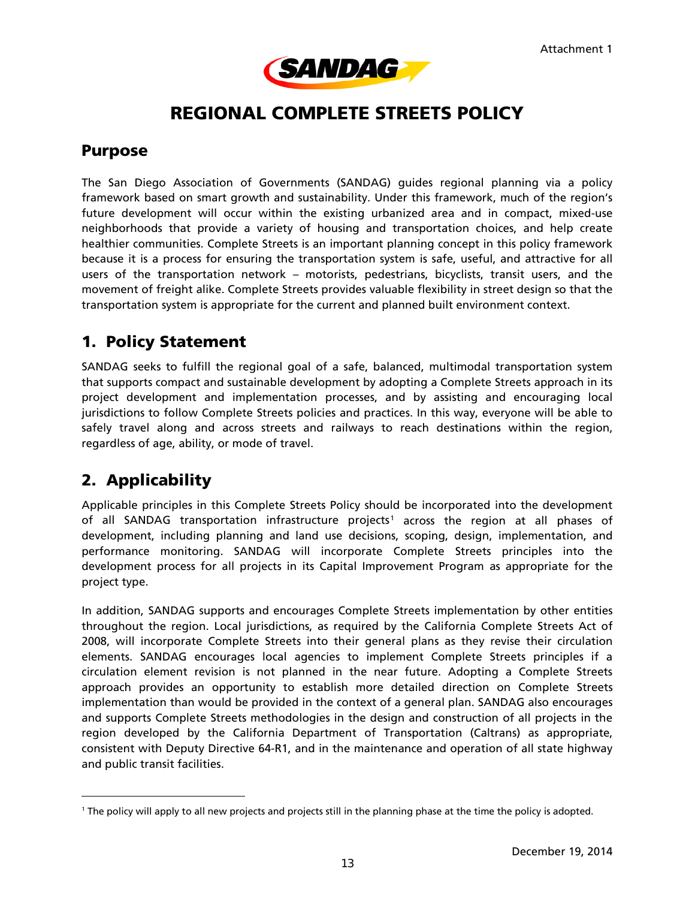

## REGIONAL COMPLETE STREETS POLICY

### Purpose

The San Diego Association of Governments (SANDAG) guides regional planning via a policy framework based on smart growth and sustainability. Under this framework, much of the region's future development will occur within the existing urbanized area and in compact, mixed-use neighborhoods that provide a variety of housing and transportation choices, and help create healthier communities. Complete Streets is an important planning concept in this policy framework because it is a process for ensuring the transportation system is safe, useful, and attractive for all users of the transportation network – motorists, pedestrians, bicyclists, transit users, and the movement of freight alike. Complete Streets provides valuable flexibility in street design so that the transportation system is appropriate for the current and planned built environment context.

### 1. Policy Statement

SANDAG seeks to fulfill the regional goal of a safe, balanced, multimodal transportation system that supports compact and sustainable development by adopting a Complete Streets approach in its project development and implementation processes, and by assisting and encouraging local jurisdictions to follow Complete Streets policies and practices. In this way, everyone will be able to safely travel along and across streets and railways to reach destinations within the region, regardless of age, ability, or mode of travel.

### 2. Applicability

l

Applicable principles in this Complete Streets Policy should be incorporated into the development of all SANDAG transportation infrastructure projects<sup>[1](#page-12-0)</sup> across the region at all phases of development, including planning and land use decisions, scoping, design, implementation, and performance monitoring. SANDAG will incorporate Complete Streets principles into the development process for all projects in its Capital Improvement Program as appropriate for the project type.

In addition, SANDAG supports and encourages Complete Streets implementation by other entities throughout the region. Local jurisdictions, as required by the California Complete Streets Act of 2008, will incorporate Complete Streets into their general plans as they revise their circulation elements. SANDAG encourages local agencies to implement Complete Streets principles if a circulation element revision is not planned in the near future. Adopting a Complete Streets approach provides an opportunity to establish more detailed direction on Complete Streets implementation than would be provided in the context of a general plan. SANDAG also encourages and supports Complete Streets methodologies in the design and construction of all projects in the region developed by the California Department of Transportation (Caltrans) as appropriate, consistent with Deputy Directive 64-R1, and in the maintenance and operation of all state highway and public transit facilities.

<span id="page-12-0"></span><sup>1</sup> The policy will apply to all new projects and projects still in the planning phase at the time the policy is adopted.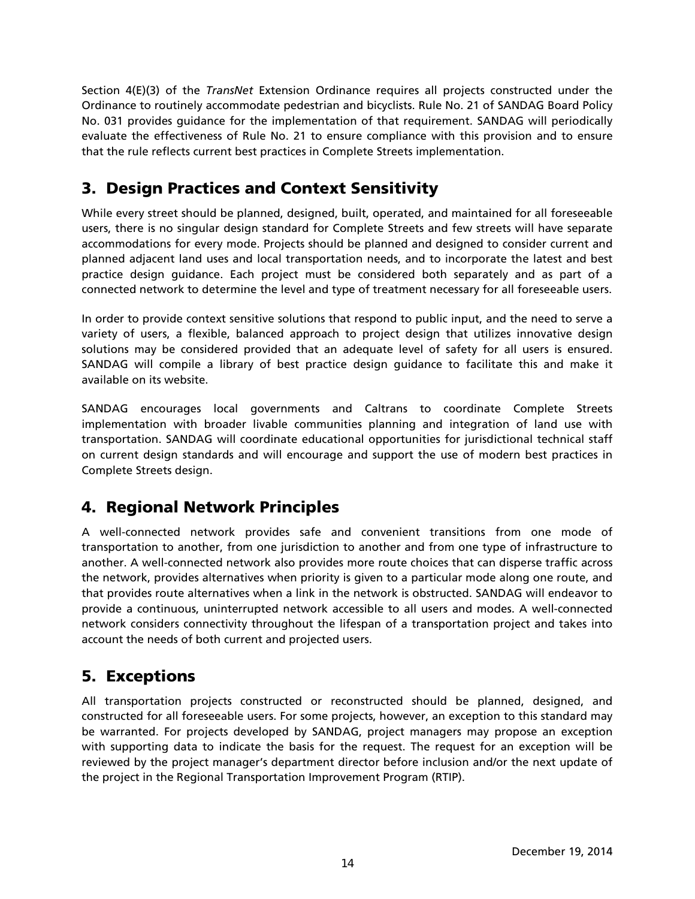Section 4(E)(3) of the *TransNet* Extension Ordinance requires all projects constructed under the Ordinance to routinely accommodate pedestrian and bicyclists. Rule No. 21 of SANDAG Board Policy No. 031 provides guidance for the implementation of that requirement. SANDAG will periodically evaluate the effectiveness of Rule No. 21 to ensure compliance with this provision and to ensure that the rule reflects current best practices in Complete Streets implementation.

### 3. Design Practices and Context Sensitivity

While every street should be planned, designed, built, operated, and maintained for all foreseeable users, there is no singular design standard for Complete Streets and few streets will have separate accommodations for every mode. Projects should be planned and designed to consider current and planned adjacent land uses and local transportation needs, and to incorporate the latest and best practice design guidance. Each project must be considered both separately and as part of a connected network to determine the level and type of treatment necessary for all foreseeable users.

In order to provide context sensitive solutions that respond to public input, and the need to serve a variety of users, a flexible, balanced approach to project design that utilizes innovative design solutions may be considered provided that an adequate level of safety for all users is ensured. SANDAG will compile a library of best practice design guidance to facilitate this and make it available on its website.

SANDAG encourages local governments and Caltrans to coordinate Complete Streets implementation with broader livable communities planning and integration of land use with transportation. SANDAG will coordinate educational opportunities for jurisdictional technical staff on current design standards and will encourage and support the use of modern best practices in Complete Streets design.

### 4. Regional Network Principles

A well-connected network provides safe and convenient transitions from one mode of transportation to another, from one jurisdiction to another and from one type of infrastructure to another. A well-connected network also provides more route choices that can disperse traffic across the network, provides alternatives when priority is given to a particular mode along one route, and that provides route alternatives when a link in the network is obstructed. SANDAG will endeavor to provide a continuous, uninterrupted network accessible to all users and modes. A well-connected network considers connectivity throughout the lifespan of a transportation project and takes into account the needs of both current and projected users.

### 5. Exceptions

All transportation projects constructed or reconstructed should be planned, designed, and constructed for all foreseeable users. For some projects, however, an exception to this standard may be warranted. For projects developed by SANDAG, project managers may propose an exception with supporting data to indicate the basis for the request. The request for an exception will be reviewed by the project manager's department director before inclusion and/or the next update of the project in the Regional Transportation Improvement Program (RTIP).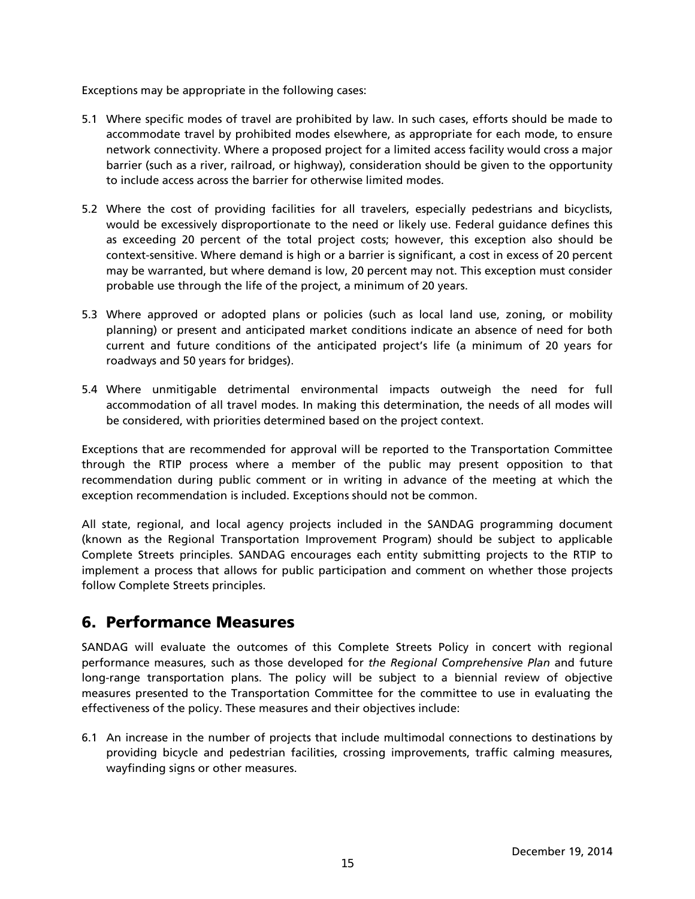Exceptions may be appropriate in the following cases:

- 5.1 Where specific modes of travel are prohibited by law. In such cases, efforts should be made to accommodate travel by prohibited modes elsewhere, as appropriate for each mode, to ensure network connectivity. Where a proposed project for a limited access facility would cross a major barrier (such as a river, railroad, or highway), consideration should be given to the opportunity to include access across the barrier for otherwise limited modes.
- 5.2 Where the cost of providing facilities for all travelers, especially pedestrians and bicyclists, would be excessively disproportionate to the need or likely use. Federal guidance defines this as exceeding 20 percent of the total project costs; however, this exception also should be context-sensitive. Where demand is high or a barrier is significant, a cost in excess of 20 percent may be warranted, but where demand is low, 20 percent may not. This exception must consider probable use through the life of the project, a minimum of 20 years.
- 5.3 Where approved or adopted plans or policies (such as local land use, zoning, or mobility planning) or present and anticipated market conditions indicate an absence of need for both current and future conditions of the anticipated project's life (a minimum of 20 years for roadways and 50 years for bridges).
- 5.4 Where unmitigable detrimental environmental impacts outweigh the need for full accommodation of all travel modes. In making this determination, the needs of all modes will be considered, with priorities determined based on the project context.

Exceptions that are recommended for approval will be reported to the Transportation Committee through the RTIP process where a member of the public may present opposition to that recommendation during public comment or in writing in advance of the meeting at which the exception recommendation is included. Exceptions should not be common.

All state, regional, and local agency projects included in the SANDAG programming document (known as the Regional Transportation Improvement Program) should be subject to applicable Complete Streets principles. SANDAG encourages each entity submitting projects to the RTIP to implement a process that allows for public participation and comment on whether those projects follow Complete Streets principles.

### 6. Performance Measures

SANDAG will evaluate the outcomes of this Complete Streets Policy in concert with regional performance measures, such as those developed for *the Regional Comprehensive Plan* and future long-range transportation plans. The policy will be subject to a biennial review of objective measures presented to the Transportation Committee for the committee to use in evaluating the effectiveness of the policy. These measures and their objectives include:

6.1 An increase in the number of projects that include multimodal connections to destinations by providing bicycle and pedestrian facilities, crossing improvements, traffic calming measures, wayfinding signs or other measures.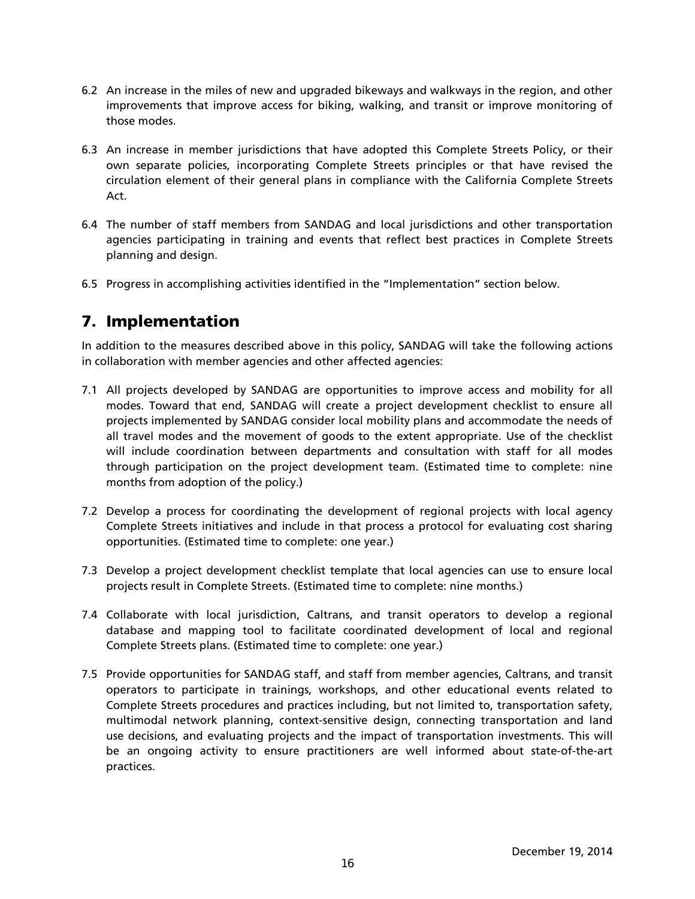- 6.2 An increase in the miles of new and upgraded bikeways and walkways in the region, and other improvements that improve access for biking, walking, and transit or improve monitoring of those modes.
- 6.3 An increase in member jurisdictions that have adopted this Complete Streets Policy, or their own separate policies, incorporating Complete Streets principles or that have revised the circulation element of their general plans in compliance with the California Complete Streets Act.
- 6.4 The number of staff members from SANDAG and local jurisdictions and other transportation agencies participating in training and events that reflect best practices in Complete Streets planning and design.
- 6.5 Progress in accomplishing activities identified in the "Implementation" section below.

### 7. Implementation

In addition to the measures described above in this policy, SANDAG will take the following actions in collaboration with member agencies and other affected agencies:

- 7.1 All projects developed by SANDAG are opportunities to improve access and mobility for all modes. Toward that end, SANDAG will create a project development checklist to ensure all projects implemented by SANDAG consider local mobility plans and accommodate the needs of all travel modes and the movement of goods to the extent appropriate. Use of the checklist will include coordination between departments and consultation with staff for all modes through participation on the project development team. (Estimated time to complete: nine months from adoption of the policy.)
- 7.2 Develop a process for coordinating the development of regional projects with local agency Complete Streets initiatives and include in that process a protocol for evaluating cost sharing opportunities. (Estimated time to complete: one year.)
- 7.3 Develop a project development checklist template that local agencies can use to ensure local projects result in Complete Streets. (Estimated time to complete: nine months.)
- 7.4 Collaborate with local jurisdiction, Caltrans, and transit operators to develop a regional database and mapping tool to facilitate coordinated development of local and regional Complete Streets plans. (Estimated time to complete: one year.)
- 7.5 Provide opportunities for SANDAG staff, and staff from member agencies, Caltrans, and transit operators to participate in trainings, workshops, and other educational events related to Complete Streets procedures and practices including, but not limited to, transportation safety, multimodal network planning, context-sensitive design, connecting transportation and land use decisions, and evaluating projects and the impact of transportation investments. This will be an ongoing activity to ensure practitioners are well informed about state-of-the-art practices.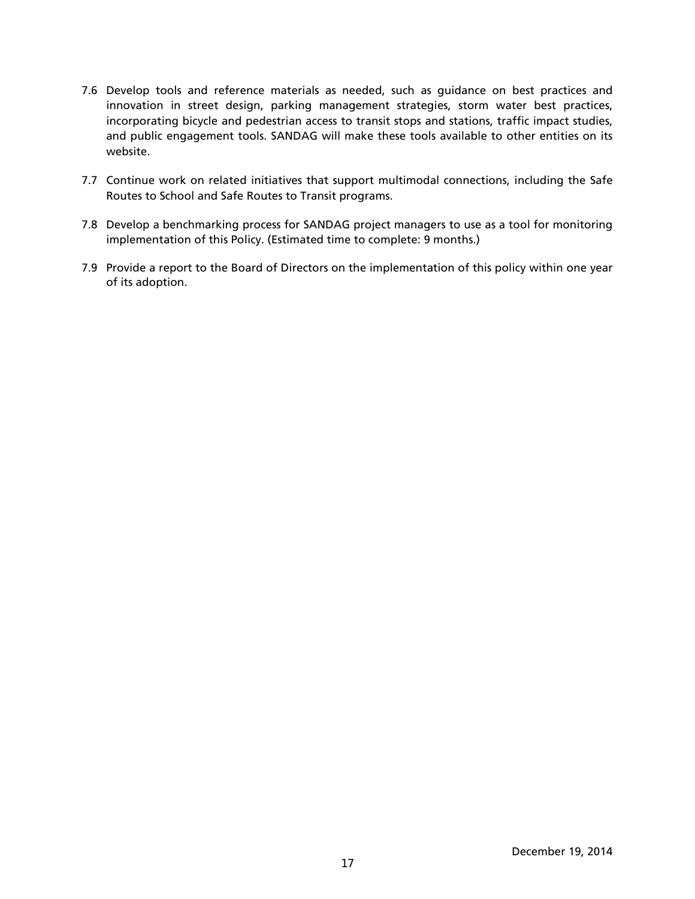- 7.6 Develop tools and reference materials as needed, such as guidance on best practices and innovation in street design, parking management strategies, storm water best practices, incorporating bicycle and pedestrian access to transit stops and stations, traffic impact studies, and public engagement tools. SANDAG will make these tools available to other entities on its website.
- 7.7 Continue work on related initiatives that support multimodal connections, including the Safe Routes to School and Safe Routes to Transit programs.
- 7.8 Develop a benchmarking process for SANDAG project managers to use as a tool for monitoring implementation of this Policy. (Estimated time to complete: 9 months.)
- 7.9 Provide a report to the Board of Directors on the implementation of this policy within one year of its adoption.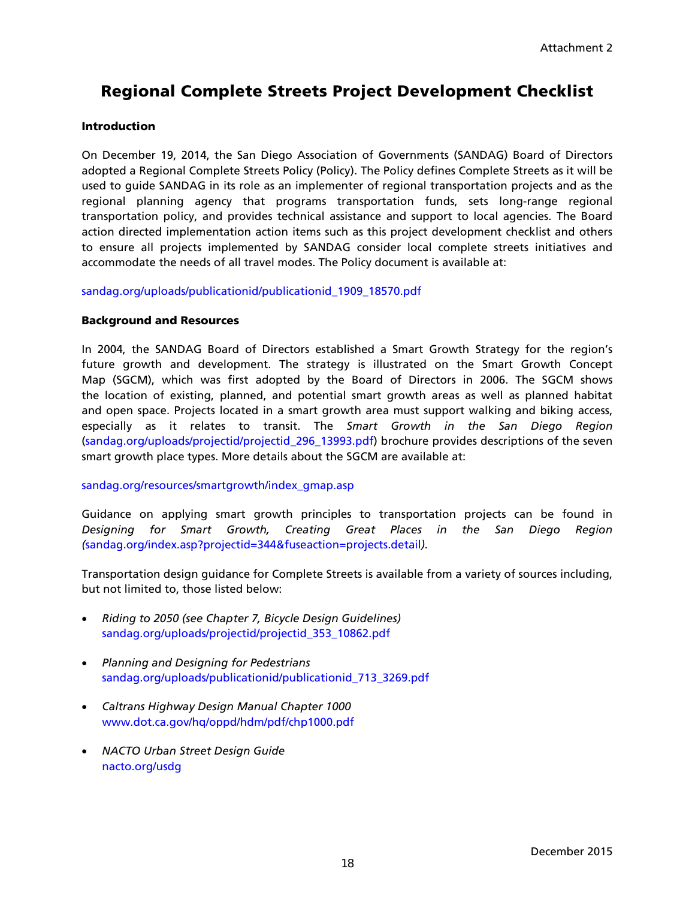### Regional Complete Streets Project Development Checklist

### **Introduction**

On December 19, 2014, the San Diego Association of Governments (SANDAG) Board of Directors adopted a Regional Complete Streets Policy (Policy). The Policy defines Complete Streets as it will be used to guide SANDAG in its role as an implementer of regional transportation projects and as the regional planning agency that programs transportation funds, sets long-range regional transportation policy, and provides technical assistance and support to local agencies. The Board action directed implementation action items such as this project development checklist and others to ensure all projects implemented by SANDAG consider local complete streets initiatives and accommodate the needs of all travel modes. The Policy document is available at:

[sandag.org/uploads/publicationid/publicationid\\_1909\\_18570.pdf](http://www.sandag.org/uploads/publicationid/publicationid_1909_18570.pdf)

### Background and Resources

In 2004, the SANDAG Board of Directors established a Smart Growth Strategy for the region's future growth and development. The strategy is illustrated on the Smart Growth Concept Map (SGCM), which was first adopted by the Board of Directors in 2006. The SGCM shows the location of existing, planned, and potential smart growth areas as well as planned habitat and open space. Projects located in a smart growth area must support walking and biking access, especially as it relates to transit. The *Smart Growth in the San Diego Region* [\(sandag.org/uploads/projectid/projectid\\_296\\_13993.pdf\)](http://www.sandag.org/uploads/projectid/projectid_296_13993.pdf) brochure provides descriptions of the seven smart growth place types. More details about the SGCM are available at:

#### [sandag.org/resources/smartgrowth/index\\_gmap.asp](http://www.sandag.org/resources/smartgrowth/index_gmap.asp)

Guidance on applying smart growth principles to transportation projects can be found in *Designing for Smart Growth, Creating Great Places in the San Diego Region (*[sandag.org/index.asp?projectid=344&fuseaction=projects.detail](http://www.sandag.org/index.asp?projectid=344&fuseaction=projects.detail)*).*

Transportation design guidance for Complete Streets is available from a variety of sources including, but not limited to, those listed below:

- *Riding to 2050 (see Chapter 7, Bicycle Design Guidelines)* [sandag.org/uploads/projectid/projectid\\_353\\_10862.pdf](http://www.sandag.org/uploads/projectid/projectid_353_10862.pdf)
- *Planning and Designing for Pedestrians* [sandag.org/uploads/publicationid/publicationid\\_713\\_3269.pdf](http://www.sandag.org/uploads/publicationid/publicationid_713_3269.pdf)
- *Caltrans Highway Design Manual Chapter 1000* [www.dot.ca.gov/hq/oppd/hdm/pdf/chp1000.pdf](http://www.dot.ca.gov/hq/oppd/hdm/pdf/chp1000.pdf)
- *NACTO Urban Street Design Guide* [nacto.org/usdg](http://nacto.org/usdg)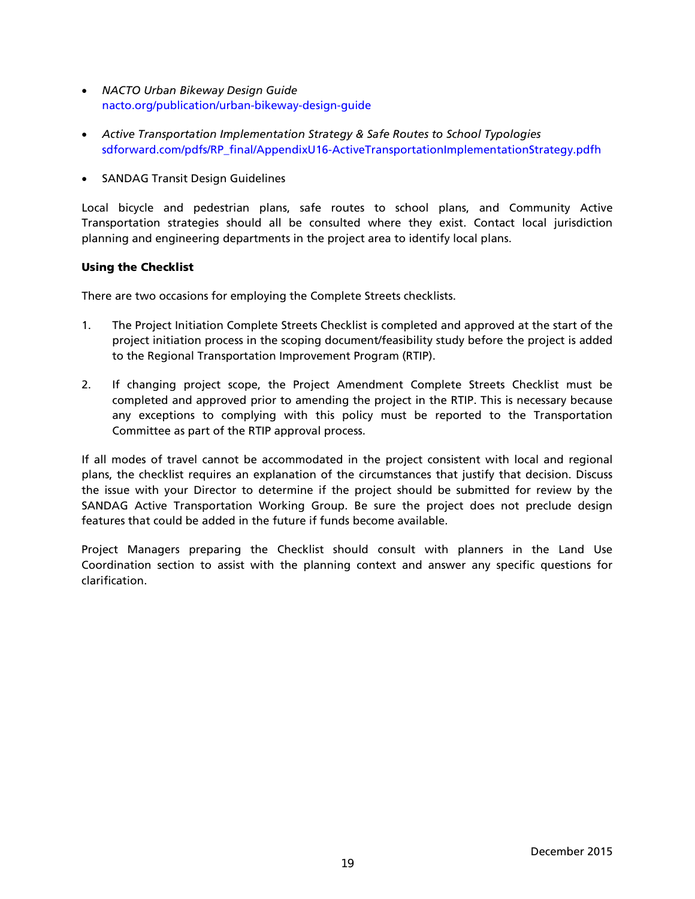- *NACTO Urban Bikeway Design Guide* [nacto.org/publication/urban-bikeway-design-guide](http://nacto.org/publication/urban-bikeway-design-guide/)
- *Active Transportation Implementation Strategy & Safe Routes to School Typologies* [sdforward.com/pdfs/RP\\_final/AppendixU16-ActiveTransportationImplementationStrategy.pdfh](http://www.sdforward.com/pdfs/RP_final/AppendixU16-ActiveTransportationImplementationStrategy.pdf)
- SANDAG Transit Design Guidelines

Local bicycle and pedestrian plans, safe routes to school plans, and Community Active Transportation strategies should all be consulted where they exist. Contact local jurisdiction planning and engineering departments in the project area to identify local plans.

### Using the Checklist

There are two occasions for employing the Complete Streets checklists.

- 1. The Project Initiation Complete Streets Checklist is completed and approved at the start of the project initiation process in the scoping document/feasibility study before the project is added to the Regional Transportation Improvement Program (RTIP).
- 2. If changing project scope, the Project Amendment Complete Streets Checklist must be completed and approved prior to amending the project in the RTIP. This is necessary because any exceptions to complying with this policy must be reported to the Transportation Committee as part of the RTIP approval process.

If all modes of travel cannot be accommodated in the project consistent with local and regional plans, the checklist requires an explanation of the circumstances that justify that decision. Discuss the issue with your Director to determine if the project should be submitted for review by the SANDAG Active Transportation Working Group. Be sure the project does not preclude design features that could be added in the future if funds become available.

Project Managers preparing the Checklist should consult with planners in the Land Use Coordination section to assist with the planning context and answer any specific questions for clarification.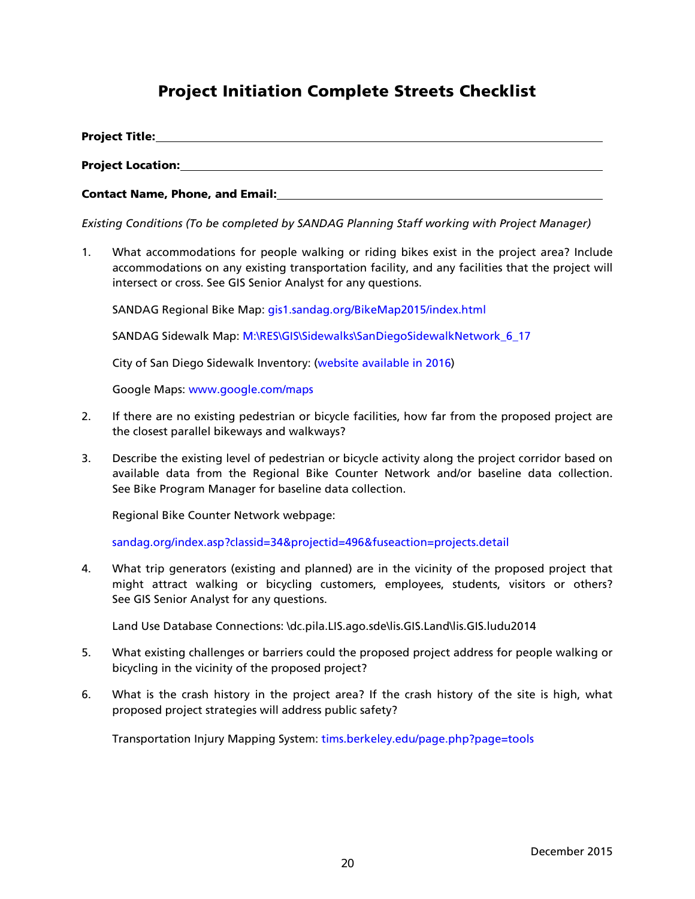### Project Initiation Complete Streets Checklist

| <b>Project Title:</b>                  |  |
|----------------------------------------|--|
| <b>Project Location:</b>               |  |
| <b>Contact Name, Phone, and Email:</b> |  |

*Existing Conditions (To be completed by SANDAG Planning Staff working with Project Manager)*

1. What accommodations for people walking or riding bikes exist in the project area? Include accommodations on any existing transportation facility, and any facilities that the project will intersect or cross. See GIS Senior Analyst for any questions.

SANDAG Regional Bike Map: [gis1.sandag.org/BikeMap2015/index.html](http://gis1.sandag.org/BikeMap2015/index.html)

SANDAG Sidewalk Map: M:\RES\GIS\Sidewalks\SanDiegoSidewalkNetwork\_6\_17

City of San Diego Sidewalk Inventory: (website available in 2016)

Google Maps: [www.google.com/maps](https://www.google.com/maps)

- 2. If there are no existing pedestrian or bicycle facilities, how far from the proposed project are the closest parallel bikeways and walkways?
- 3. Describe the existing level of pedestrian or bicycle activity along the project corridor based on available data from the Regional Bike Counter Network and/or baseline data collection. See Bike Program Manager for baseline data collection.

Regional Bike Counter Network webpage:

[sandag.org/index.asp?classid=34&projectid=496&fuseaction=projects.detail](http://www.sandag.org/index.asp?classid=34&projectid=496&fuseaction=projects.detail)

4. What trip generators (existing and planned) are in the vicinity of the proposed project that might attract walking or bicycling customers, employees, students, visitors or others? See GIS Senior Analyst for any questions.

Land Use Database Connections: \dc.pila.LIS.ago.sde\lis.GIS.Land\lis.GIS.ludu2014

- 5. What existing challenges or barriers could the proposed project address for people walking or bicycling in the vicinity of the proposed project?
- 6. What is the crash history in the project area? If the crash history of the site is high, what proposed project strategies will address public safety?

Transportation Injury Mapping System: [tims.berkeley.edu/page.php?page=tools](http://tims.berkeley.edu/page.php?page=tools)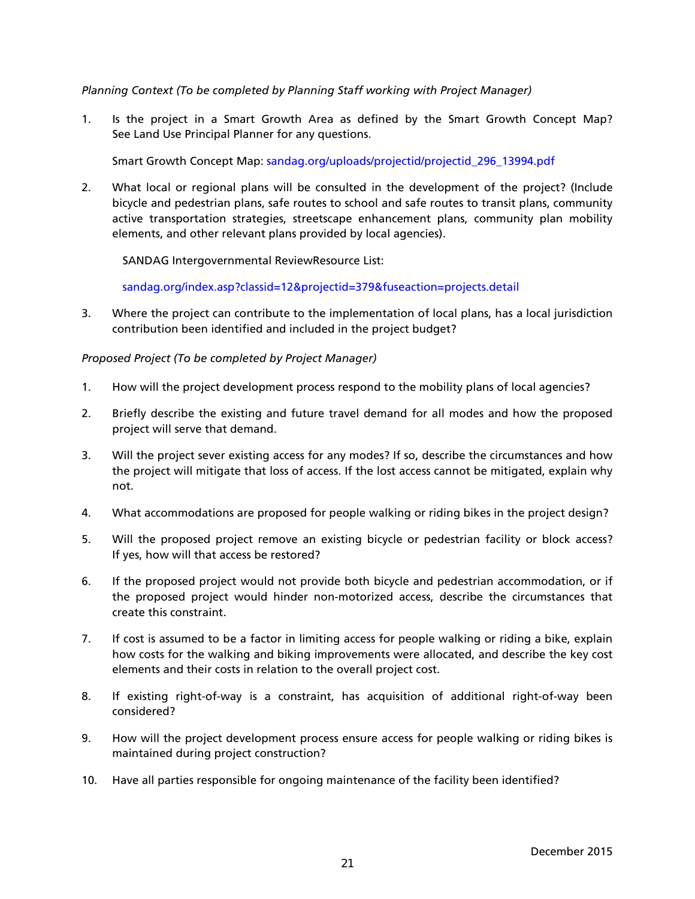*Planning Context (To be completed by Planning Staff working with Project Manager)*

1. Is the project in a Smart Growth Area as defined by the Smart Growth Concept Map? See Land Use Principal Planner for any questions.

Smart Growth Concept Map: [sandag.org/uploads/projectid/projectid\\_296\\_13994.pdf](http://www.sandag.org/uploads/projectid/projectid_296_13994.pdf)

2. What local or regional plans will be consulted in the development of the project? (Include bicycle and pedestrian plans, safe routes to school and safe routes to transit plans, community active transportation strategies, streetscape enhancement plans, community plan mobility elements, and other relevant plans provided by local agencies).

SANDAG Intergovernmental ReviewResource List:

[sandag.org/index.asp?classid=12&projectid=379&fuseaction=projects.detail](http://www.sandag.org/index.asp?classid=12&projectid=379&fuseaction=projects.detail)

3. Where the project can contribute to the implementation of local plans, has a local jurisdiction contribution been identified and included in the project budget?

### *Proposed Project (To be completed by Project Manager)*

- 1. How will the project development process respond to the mobility plans of local agencies?
- 2. Briefly describe the existing and future travel demand for all modes and how the proposed project will serve that demand.
- 3. Will the project sever existing access for any modes? If so, describe the circumstances and how the project will mitigate that loss of access. If the lost access cannot be mitigated, explain why not.
- 4. What accommodations are proposed for people walking or riding bikes in the project design?
- 5. Will the proposed project remove an existing bicycle or pedestrian facility or block access? If yes, how will that access be restored?
- 6. If the proposed project would not provide both bicycle and pedestrian accommodation, or if the proposed project would hinder non-motorized access, describe the circumstances that create this constraint.
- 7. If cost is assumed to be a factor in limiting access for people walking or riding a bike, explain how costs for the walking and biking improvements were allocated, and describe the key cost elements and their costs in relation to the overall project cost.
- 8. If existing right-of-way is a constraint, has acquisition of additional right-of-way been considered?
- 9. How will the project development process ensure access for people walking or riding bikes is maintained during project construction?
- 10. Have all parties responsible for ongoing maintenance of the facility been identified?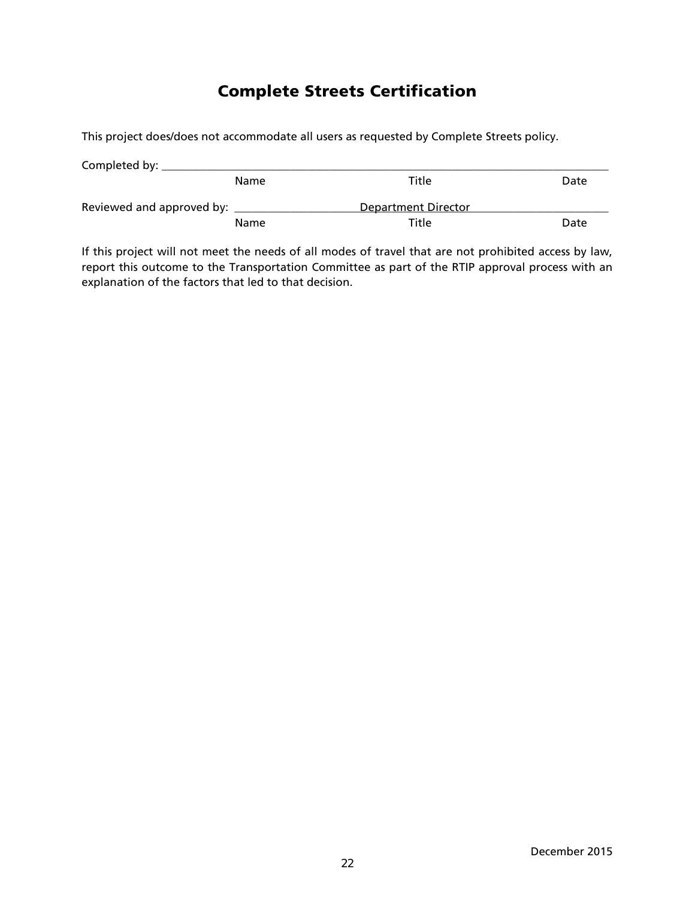### Complete Streets Certification

This project does/does not accommodate all users as requested by Complete Streets policy.

| Completed by:             |      |                     |      |
|---------------------------|------|---------------------|------|
|                           | Name | Title               | Date |
| Reviewed and approved by: |      | Department Director |      |
|                           | Name | Title               | Date |

If this project will not meet the needs of all modes of travel that are not prohibited access by law, report this outcome to the Transportation Committee as part of the RTIP approval process with an explanation of the factors that led to that decision.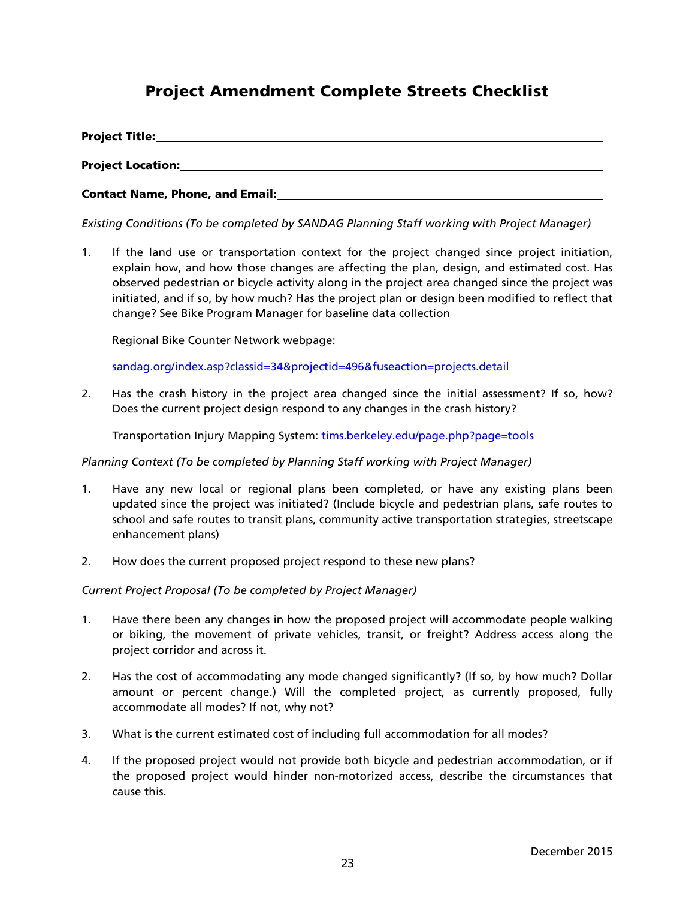### Project Amendment Complete Streets Checklist

| <b>Project Title:</b>                  |  |
|----------------------------------------|--|
| <b>Project Location:</b>               |  |
| <b>Contact Name, Phone, and Email:</b> |  |

*Existing Conditions (To be completed by SANDAG Planning Staff working with Project Manager)*

1. If the land use or transportation context for the project changed since project initiation, explain how, and how those changes are affecting the plan, design, and estimated cost. Has observed pedestrian or bicycle activity along in the project area changed since the project was initiated, and if so, by how much? Has the project plan or design been modified to reflect that change? See Bike Program Manager for baseline data collection

Regional Bike Counter Network webpage:

[sandag.org/index.asp?classid=34&projectid=496&fuseaction=projects.detail](http://www.sandag.org/index.asp?classid=34&projectid=496&fuseaction=projects.detail)

2. Has the crash history in the project area changed since the initial assessment? If so, how? Does the current project design respond to any changes in the crash history?

Transportation Injury Mapping System: [tims.berkeley.edu/page.php?page=tools](http://tims.berkeley.edu/page.php?page=tools)

#### *Planning Context (To be completed by Planning Staff working with Project Manager)*

- 1. Have any new local or regional plans been completed, or have any existing plans been updated since the project was initiated? (Include bicycle and pedestrian plans, safe routes to school and safe routes to transit plans, community active transportation strategies, streetscape enhancement plans)
- 2. How does the current proposed project respond to these new plans?

#### *Current Project Proposal (To be completed by Project Manager)*

- 1. Have there been any changes in how the proposed project will accommodate people walking or biking, the movement of private vehicles, transit, or freight? Address access along the project corridor and across it.
- 2. Has the cost of accommodating any mode changed significantly? (If so, by how much? Dollar amount or percent change.) Will the completed project, as currently proposed, fully accommodate all modes? If not, why not?
- 3. What is the current estimated cost of including full accommodation for all modes?
- 4. If the proposed project would not provide both bicycle and pedestrian accommodation, or if the proposed project would hinder non-motorized access, describe the circumstances that cause this.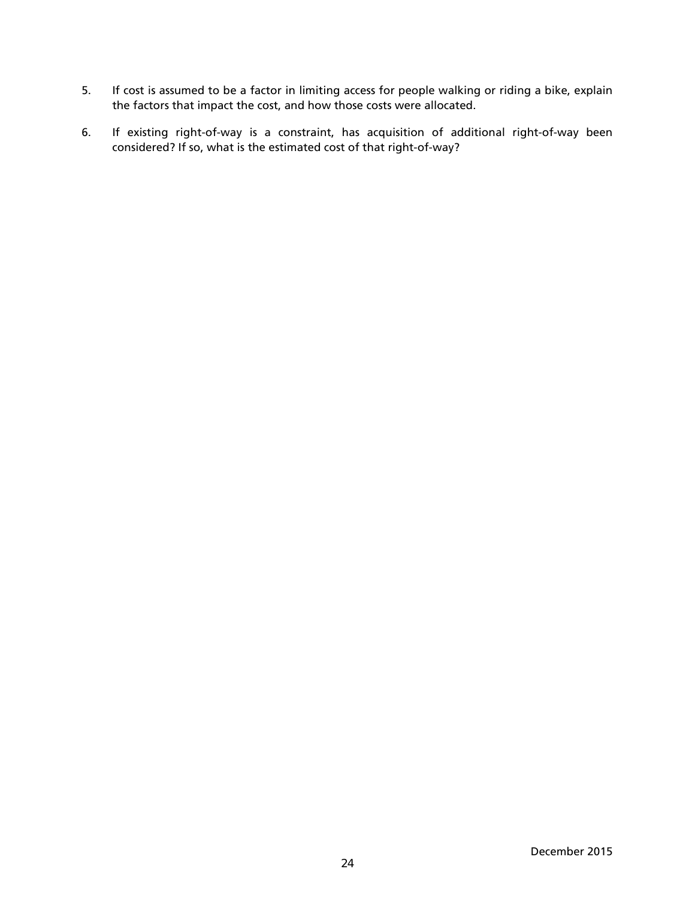- 5. If cost is assumed to be a factor in limiting access for people walking or riding a bike, explain the factors that impact the cost, and how those costs were allocated.
- 6. If existing right-of-way is a constraint, has acquisition of additional right-of-way been considered? If so, what is the estimated cost of that right-of-way?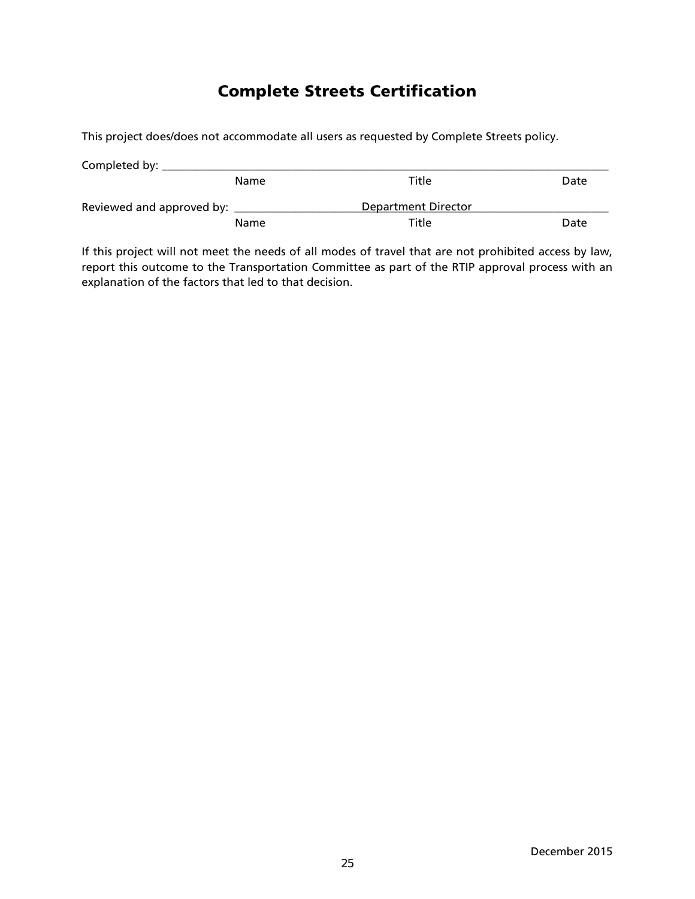### Complete Streets Certification

This project does/does not accommodate all users as requested by Complete Streets policy.

| Completed by:             |      |                     |      |
|---------------------------|------|---------------------|------|
|                           | Name | Title               | Date |
| Reviewed and approved by: |      | Department Director |      |
|                           | Name | Title               | Date |

If this project will not meet the needs of all modes of travel that are not prohibited access by law, report this outcome to the Transportation Committee as part of the RTIP approval process with an explanation of the factors that led to that decision.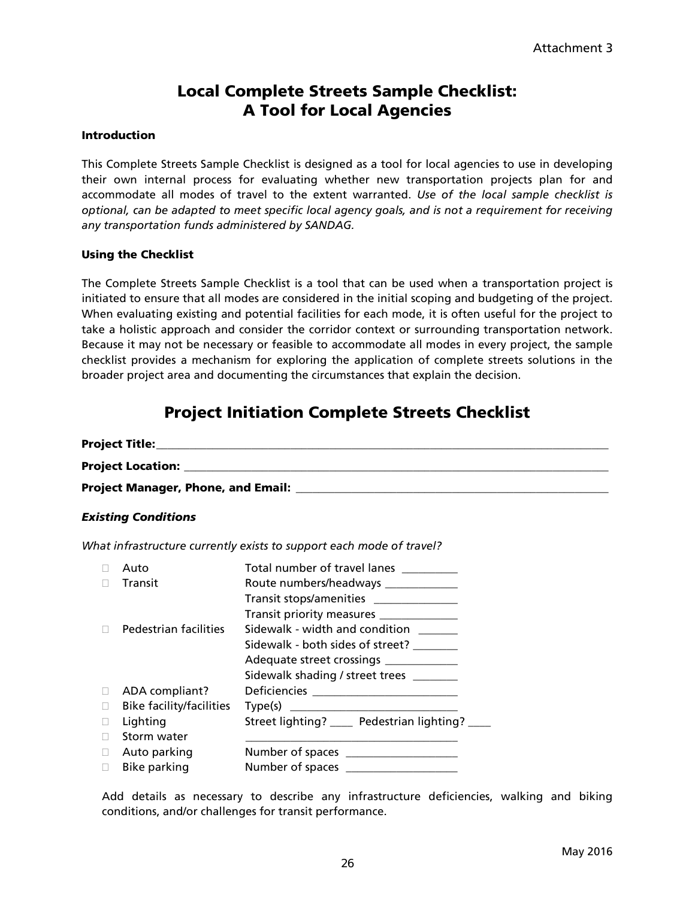### Local Complete Streets Sample Checklist: A Tool for Local Agencies

### Introduction

This Complete Streets Sample Checklist is designed as a tool for local agencies to use in developing their own internal process for evaluating whether new transportation projects plan for and accommodate all modes of travel to the extent warranted. *Use of the local sample checklist is optional, can be adapted to meet specific local agency goals, and is not a requirement for receiving any transportation funds administered by SANDAG.*

### Using the Checklist

The Complete Streets Sample Checklist is a tool that can be used when a transportation project is initiated to ensure that all modes are considered in the initial scoping and budgeting of the project. When evaluating existing and potential facilities for each mode, it is often useful for the project to take a holistic approach and consider the corridor context or surrounding transportation network. Because it may not be necessary or feasible to accommodate all modes in every project, the sample checklist provides a mechanism for exploring the application of complete streets solutions in the broader project area and documenting the circumstances that explain the decision.

### Project Initiation Complete Streets Checklist

|      | <b>Existing Conditions</b>                                           |  |  |  |  |
|------|----------------------------------------------------------------------|--|--|--|--|
|      | What infrastructure currently exists to support each mode of travel? |  |  |  |  |
| Auto | Total number of travel lanes                                         |  |  |  |  |

|   | Auto                            | Total number of travel lanes                     |
|---|---------------------------------|--------------------------------------------------|
|   | Transit                         | Route numbers/headways _____________             |
|   |                                 | Transit stops/amenities _______________          |
|   |                                 | Transit priority measures _____________          |
|   | Pedestrian facilities           | Sidewalk - width and condition ______            |
|   |                                 | Sidewalk - both sides of street?                 |
|   |                                 | Adequate street crossings ____________           |
|   |                                 | Sidewalk shading / street trees ________         |
|   | ADA compliant?                  | Deficiencies __________________________          |
|   | <b>Bike facility/facilities</b> |                                                  |
|   | Lighting                        | Street lighting? _____ Pedestrian lighting? ____ |
|   | Storm water                     |                                                  |
| П | Auto parking                    |                                                  |
|   | Bike parking                    |                                                  |

Add details as necessary to describe any infrastructure deficiencies, walking and biking conditions, and/or challenges for transit performance.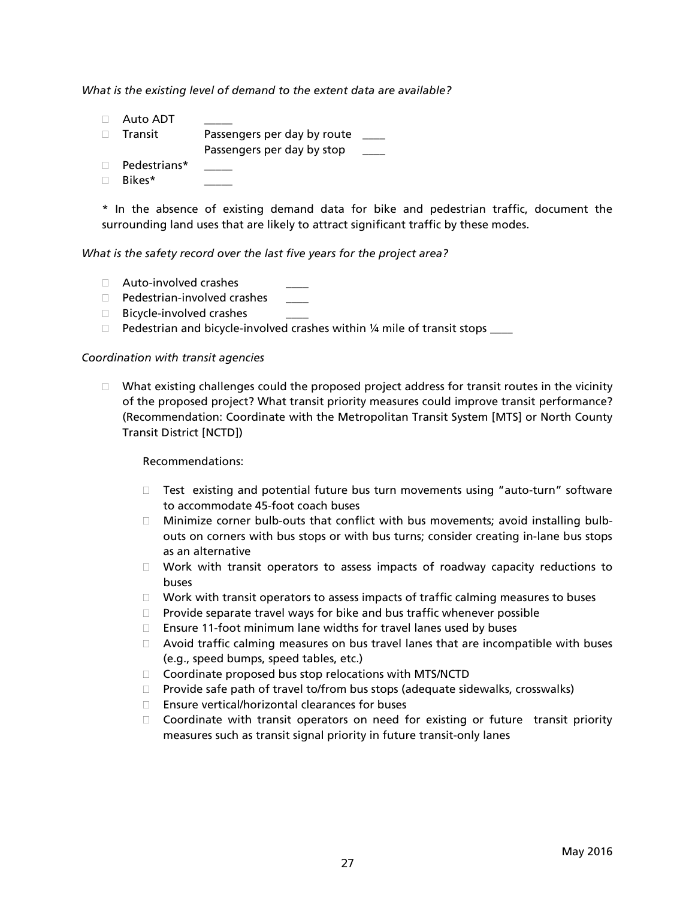*What is the existing level of demand to the extent data are available?* 

- $\Box$  Auto ADT □ Transit Passengers per day by route <u>\_\_</u> Passengers per day by stop \_\_
- $\Box$  Pedestrians\*
- $\Box$  Bikes\*

\* In the absence of existing demand data for bike and pedestrian traffic, document the surrounding land uses that are likely to attract significant traffic by these modes.

#### *What is the safety record over the last five years for the project area?*

- $\Box$  Auto-involved crashes
- $\Box$  Pedestrian-involved crashes
- $\Box$  Bicycle-involved crashes
- $\Box$  Pedestrian and bicycle-involved crashes within 1/4 mile of transit stops  $\_\_$

### *Coordination with transit agencies*

 $\Box$  What existing challenges could the proposed project address for transit routes in the vicinity of the proposed project? What transit priority measures could improve transit performance? (Recommendation: Coordinate with the Metropolitan Transit System [MTS] or North County Transit District [NCTD])

#### Recommendations:

- $\Box$  Test existing and potential future bus turn movements using "auto-turn" software to accommodate 45-foot coach buses
- $\Box$  Minimize corner bulb-outs that conflict with bus movements; avoid installing bulbouts on corners with bus stops or with bus turns; consider creating in-lane bus stops as an alternative
- $\Box$  Work with transit operators to assess impacts of roadway capacity reductions to buses
- $\Box$  Work with transit operators to assess impacts of traffic calming measures to buses
- $\Box$  Provide separate travel ways for bike and bus traffic whenever possible
- $\Box$  Ensure 11-foot minimum lane widths for travel lanes used by buses
- $\Box$  Avoid traffic calming measures on bus travel lanes that are incompatible with buses (e.g., speed bumps, speed tables, etc.)
- $\Box$  Coordinate proposed bus stop relocations with MTS/NCTD
- $\Box$  Provide safe path of travel to/from bus stops (adequate sidewalks, crosswalks)
- $\square$  Ensure vertical/horizontal clearances for buses
- $\Box$  Coordinate with transit operators on need for existing or future transit priority measures such as transit signal priority in future transit-only lanes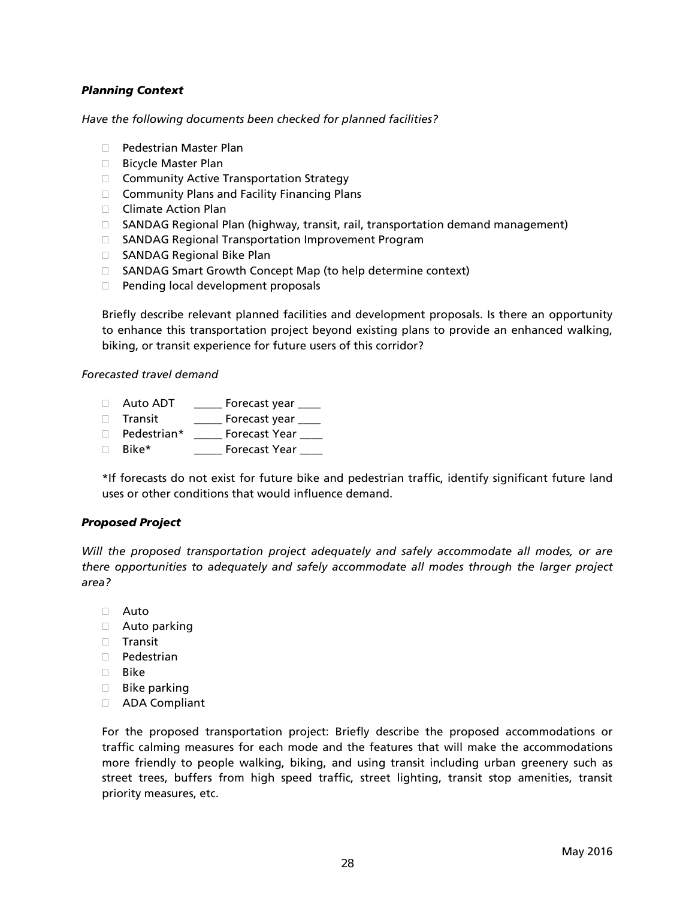### *Planning Context*

*Have the following documents been checked for planned facilities?*

- □ Pedestrian Master Plan
- □ Bicycle Master Plan
- □ Community Active Transportation Strategy
- $\Box$  Community Plans and Facility Financing Plans
- □ Climate Action Plan
- □ SANDAG Regional Plan (highway, transit, rail, transportation demand management)
- □ SANDAG Regional Transportation Improvement Program
- □ SANDAG Regional Bike Plan
- □ SANDAG Smart Growth Concept Map (to help determine context)
- D Pending local development proposals

Briefly describe relevant planned facilities and development proposals. Is there an opportunity to enhance this transportation project beyond existing plans to provide an enhanced walking, biking, or transit experience for future users of this corridor?

*Forecasted travel demand*

- Auto ADT \_\_\_\_\_ Forecast year \_\_\_\_
- Transit \_\_\_\_\_ Forecast year \_\_\_\_
- D Pedestrian\* \_\_\_\_\_ Forecast Year \_\_\_\_
- Bike\* \_\_\_\_\_ Forecast Year \_\_\_\_

\*If forecasts do not exist for future bike and pedestrian traffic, identify significant future land uses or other conditions that would influence demand.

### *Proposed Project*

*Will the proposed transportation project adequately and safely accommodate all modes, or are there opportunities to adequately and safely accommodate all modes through the larger project area?* 

- Auto
- Auto parking
- $\Box$  Transit
- D Pedestrian
- $\Box$  Bike
- **Bike parking**
- ADA Compliant

For the proposed transportation project: Briefly describe the proposed accommodations or traffic calming measures for each mode and the features that will make the accommodations more friendly to people walking, biking, and using transit including urban greenery such as street trees, buffers from high speed traffic, street lighting, transit stop amenities, transit priority measures, etc.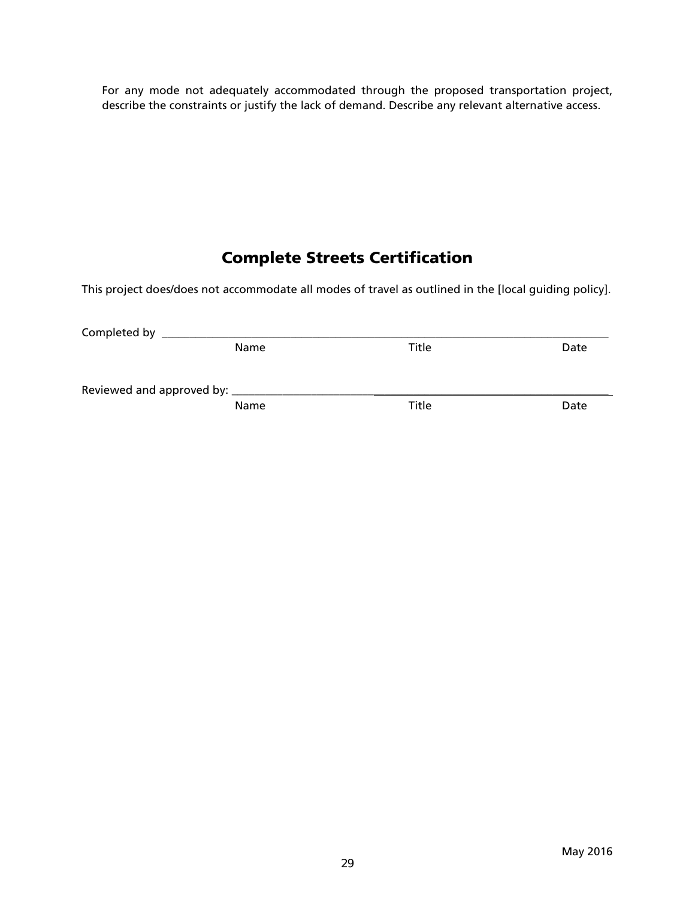For any mode not adequately accommodated through the proposed transportation project, describe the constraints or justify the lack of demand. Describe any relevant alternative access.

### Complete Streets Certification

This project does/does not accommodate all modes of travel as outlined in the [local guiding policy].

| Completed by                           |      |       |      |
|----------------------------------------|------|-------|------|
|                                        | Name | Title | Date |
| Reviewed and approved by: ____________ |      |       |      |
|                                        | Name | Title | Date |
|                                        |      |       |      |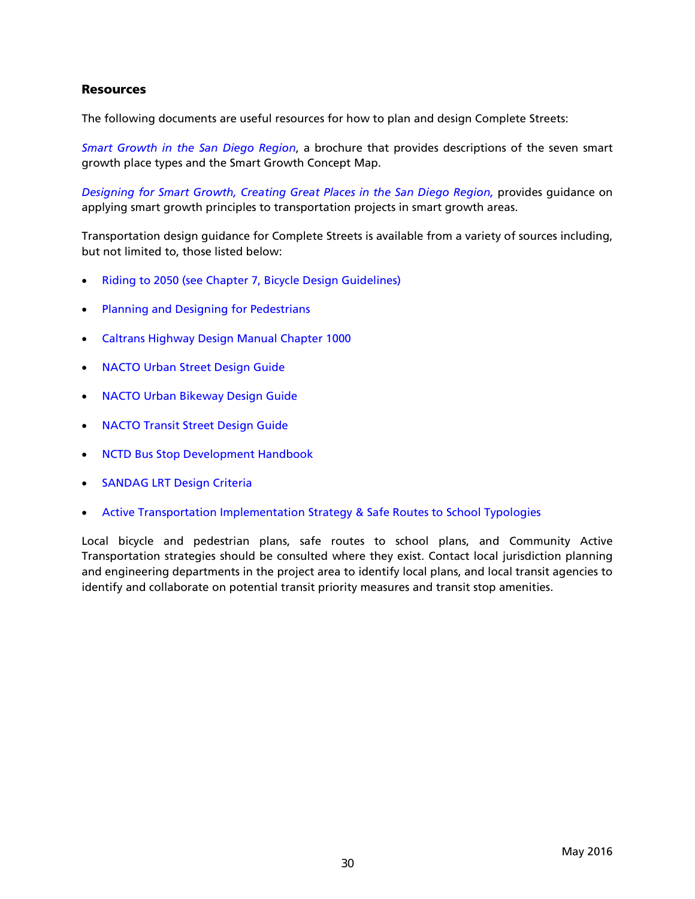### **Resources**

The following documents are useful resources for how to plan and design Complete Streets:

*[Smart Growth in the San Diego Region](http://www.sandag.org/uploads/projectid/projectid_296_13993.pdf)*, a brochure that provides descriptions of the seven smart growth place types and the Smart Growth Concept Map.

*[Designing for Smart Growth, Creating Great Places in the San Diego Region,](http://www.sandag.org/index.asp?projectid=344&fuseaction=projects.detail)* provides guidance on applying smart growth principles to transportation projects in smart growth areas.

Transportation design guidance for Complete Streets is available from a variety of sources including, but not limited to, those listed below:

- [Riding to 2050 \(see Chapter 7, Bicycle Design Guidelines\)](http://www.sandag.org/uploads/projectid/projectid_353_10862.pdf)
- [Planning and Designing for Pedestrians](http://www.sandag.org/uploads/publicationid/publicationid_713_3269.pdf)
- [Caltrans Highway Design Manual Chapter 1000](http://www.dot.ca.gov/hq/oppd/hdm/pdf/chp1000.pdf)
- [NACTO Urban Street Design Guide](http://nacto.org/publication/urban-street-design-guide/)
- [NACTO Urban Bikeway Design Guide](http://nacto.org/publication/urban-bikeway-design-guide/)
- [NACTO Transit Street Design Guide](http://nacto.org/transit-street-design-guide/)
- [NCTD Bus Stop Development Handbook](http://www.sandag.org/uploads/projectid/projectid_521_20545.pdf)
- [SANDAG LRT Design Criteria](http://www.sandag.org/uploads/projectid/projectid_521_20093.pdf)
- [Active Transportation Implementation Strategy & Safe Routes to School Typologies](http://www.sdforward.com/pdfs/RP_final/AppendixU16-ActiveTransportationImplementationStrategy.pdf)

Local bicycle and pedestrian plans, safe routes to school plans, and Community Active Transportation strategies should be consulted where they exist. Contact local jurisdiction planning and engineering departments in the project area to identify local plans, and local transit agencies to identify and collaborate on potential transit priority measures and transit stop amenities.